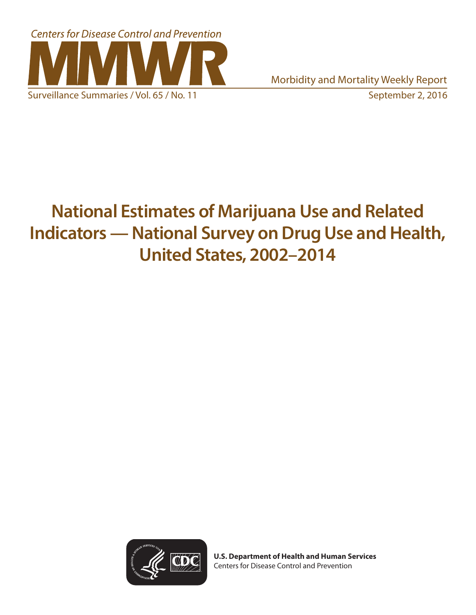

# **National Estimates of Marijuana Use and Related Indicators — National Survey on Drug Use and Health, United States, 2002–2014**



**U.S. Department of Health and Human Services** Centers for Disease Control and Prevention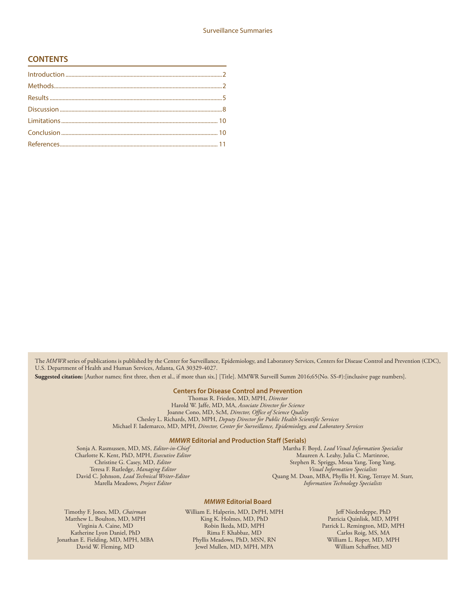#### **CONTENTS**

The *MMWR* series of publications is published by the Center for Surveillance, Epidemiology, and Laboratory Services, Centers for Disease Control and Prevention (CDC), U.S. Department of Health and Human Services, Atlanta, GA 30329-4027.

**Suggested citation:** [Author names; first three, then et al., if more than six.] [Title]. MMWR Surveill Summ 2016;65(No. SS-#):[inclusive page numbers].

#### **Centers for Disease Control and Prevention**

Thomas R. Frieden, MD, MPH, *Director* Harold W. Jaffe, MD, MA, *Associate Director for Science* Joanne Cono, MD, ScM, *Director, Office of Science Quality*  Chesley L. Richards, MD, MPH, *Deputy Director for Public Health Scientific Services* Michael F. Iademarco, MD, MPH, *Director, Center for Surveillance, Epidemiology, and Laboratory Services*

#### *MMWR* **Editorial and Production Staff (Serials)**

Sonja A. Rasmussen, MD, MS, *Editor-in-Chief* Charlotte K. Kent, PhD, MPH, *Executive Editor* Christine G. Casey, MD, *Editor* Teresa F. Rutledge, *Managing Editor* David C. Johnson, *Lead Technical Writer-Editor* Marella Meadows, *Project Editor*

Martha F. Boyd, *Lead Visual Information Specialist* Maureen A. Leahy, Julia C. Martinroe, Stephen R. Spriggs, Moua Yang, Tong Yang, *Visual Information Specialists* Quang M. Doan, MBA, Phyllis H. King, Terraye M. Starr, *Information Technology Specialists*

#### *MMWR* **Editorial Board**

Timothy F. Jones, MD, *Chairman* Matthew L. Boulton, MD, MPH Virginia A. Caine, MD Katherine Lyon Daniel, PhD Jonathan E. Fielding, MD, MPH, MBA David W. Fleming, MD

William E. Halperin, MD, DrPH, MPH King K. Holmes, MD, PhD Robin Ikeda, MD, MPH Rima F. Khabbaz, MD Phyllis Meadows, PhD, MSN, RN Jewel Mullen, MD, MPH, MPA

Jeff Niederdeppe, PhD Patricia Quinlisk, MD, MPH Patrick L. Remington, MD, MPH Carlos Roig, MS, MA William L. Roper, MD, MPH William Schaffner, MD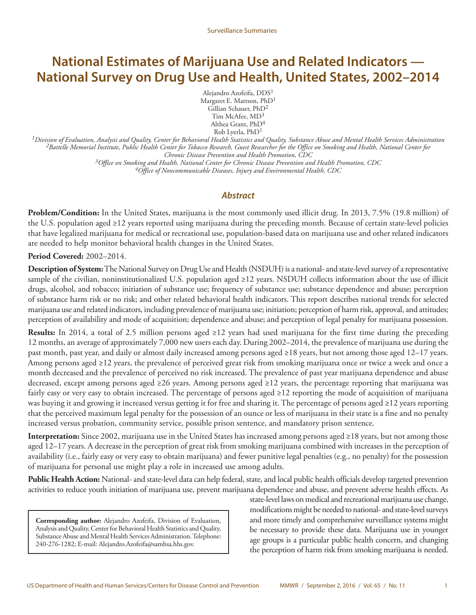# **National Estimates of Marijuana Use and Related Indicators — National Survey on Drug Use and Health, United States, 2002–2014**

Alejandro Azofeifa, DDS1 Margaret E. Mattson, PhD<sup>1</sup> Gillian Schauer, PhD<sup>2</sup> Tim McAfee, MD3 Althea Grant, PhD<sup>4</sup> Rob Lyerla, PhD<sup>1</sup>

*1Division of Evaluation, Analysis and Quality, Center for Behavioral Health Statistics and Quality, Substance Abuse and Mental Health Services Administration 2Battelle Memorial Institute, Public Health Center for Tobacco Research, Guest Researcher for the Office on Smoking and Health, National Center for Chronic Disease Prevention and Health Promotion, CDC*

*3Office on Smoking and Health, National Center for Chronic Disease Prevention and Health Promotion, CDC 4Office of Noncommunicable Diseases, Injury and Environmental Health, CDC*

#### *Abstract*

**Problem/Condition:** In the United States, marijuana is the most commonly used illicit drug. In 2013, 7.5% (19.8 million) of the U.S. population aged ≥12 years reported using marijuana during the preceding month. Because of certain state-level policies that have legalized marijuana for medical or recreational use, population-based data on marijuana use and other related indicators are needed to help monitor behavioral health changes in the United States.

#### **Period Covered:** 2002–2014.

**Description of System:** The National Survey on Drug Use and Health (NSDUH) is a national- and state-level survey of a representative sample of the civilian, noninstitutionalized U.S. population aged ≥12 years. NSDUH collects information about the use of illicit drugs, alcohol, and tobacco; initiation of substance use; frequency of substance use; substance dependence and abuse; perception of substance harm risk or no risk; and other related behavioral health indicators. This report describes national trends for selected marijuana use and related indicators, including prevalence of marijuana use; initiation; perception of harm risk, approval, and attitudes; perception of availability and mode of acquisition; dependence and abuse; and perception of legal penalty for marijuana possession.

**Results:** In 2014, a total of 2.5 million persons aged ≥12 years had used marijuana for the first time during the preceding 12 months, an average of approximately 7,000 new users each day. During 2002–2014, the prevalence of marijuana use during the past month, past year, and daily or almost daily increased among persons aged ≥18 years, but not among those aged 12–17 years. Among persons aged ≥12 years, the prevalence of perceived great risk from smoking marijuana once or twice a week and once a month decreased and the prevalence of perceived no risk increased. The prevalence of past year marijuana dependence and abuse decreased, except among persons aged ≥26 years. Among persons aged ≥12 years, the percentage reporting that marijuana was fairly easy or very easy to obtain increased. The percentage of persons aged ≥12 reporting the mode of acquisition of marijuana was buying it and growing it increased versus getting it for free and sharing it. The percentage of persons aged ≥12 years reporting that the perceived maximum legal penalty for the possession of an ounce or less of marijuana in their state is a fine and no penalty increased versus probation, community service, possible prison sentence, and mandatory prison sentence.

**Interpretation:** Since 2002, marijuana use in the United States has increased among persons aged ≥18 years, but not among those aged 12–17 years. A decrease in the perception of great risk from smoking marijuana combined with increases in the perception of availability (i.e., fairly easy or very easy to obtain marijuana) and fewer punitive legal penalties (e.g., no penalty) for the possession of marijuana for personal use might play a role in increased use among adults.

**Public Health Action:** National- and state-level data can help federal, state, and local public health officials develop targeted prevention activities to reduce youth initiation of marijuana use, prevent marijuana dependence and abuse, and prevent adverse health effects. As

**Corresponding author:** Alejandro Azofeifa, Division of Evaluation, Analysis and Quality, Center for Behavioral Health Statistics and Quality, Substance Abuse and Mental Health Services Administration. Telephone: 240-276-1282; E-mail: Alejandro.Azofeifa@samhsa.hhs.gov.

state-level laws on medical and recreational marijuana use change, modifications might be needed to national- and state-level surveys and more timely and comprehensive surveillance systems might be necessary to provide these data. Marijuana use in younger age groups is a particular public health concern, and changing the perception of harm risk from smoking marijuana is needed.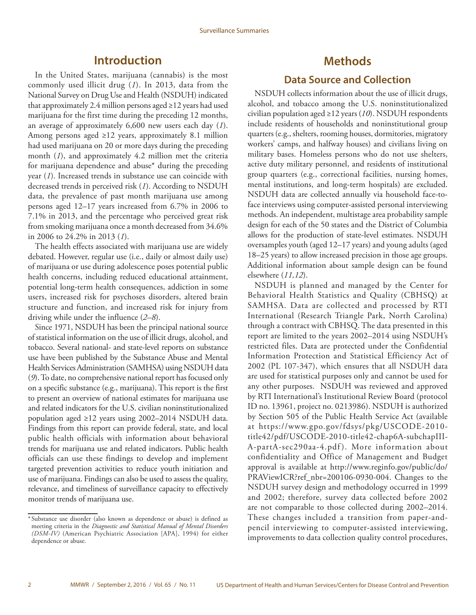# **Introduction**

<span id="page-3-0"></span>In the United States, marijuana (cannabis) is the most commonly used illicit drug (*1*). In 2013, data from the National Survey on Drug Use and Health (NSDUH) indicated that approximately 2.4 million persons aged ≥12 years had used marijuana for the first time during the preceding 12 months, an average of approximately 6,600 new users each day (*1*). Among persons aged ≥12 years, approximately 8.1 million had used marijuana on 20 or more days during the preceding month (*1*), and approximately 4.2 million met the criteria for marijuana dependence and abuse\* during the preceding year (*1*). Increased trends in substance use can coincide with decreased trends in perceived risk (*1*). According to NSDUH data, the prevalence of past month marijuana use among persons aged 12–17 years increased from 6.7% in 2006 to 7.1% in 2013, and the percentage who perceived great risk from smoking marijuana once a month decreased from 34.6% in 2006 to 24.2% in 2013 (*1*).

The health effects associated with marijuana use are widely debated. However, regular use (i.e., daily or almost daily use) of marijuana or use during adolescence poses potential public health concerns, including reduced educational attainment, potential long-term health consequences, addiction in some users, increased risk for psychoses disorders, altered brain structure and function, and increased risk for injury from driving while under the influence (*2*–*8*).

Since 1971, NSDUH has been the principal national source of statistical information on the use of illicit drugs, alcohol, and tobacco. Several national- and state-level reports on substance use have been published by the Substance Abuse and Mental Health Services Administration (SAMHSA) using NSDUH data (*9*). To date, no comprehensive national report has focused only on a specific substance (e.g., marijuana). This report is the first to present an overview of national estimates for marijuana use and related indicators for the U.S. civilian noninstitutionalized population aged ≥12 years using 2002–2014 NSDUH data. Findings from this report can provide federal, state, and local public health officials with information about behavioral trends for marijuana use and related indicators. Public health officials can use these findings to develop and implement targeted prevention activities to reduce youth initiation and use of marijuana. Findings can also be used to assess the quality, relevance, and timeliness of surveillance capacity to effectively monitor trends of marijuana use.

# **Methods**

# **Data Source and Collection**

NSDUH collects information about the use of illicit drugs, alcohol, and tobacco among the U.S. noninstitutionalized civilian population aged ≥12 years (*10*). NSDUH respondents include residents of households and noninstitutional group quarters (e.g., shelters, rooming houses, dormitories, migratory workers' camps, and halfway houses) and civilians living on military bases. Homeless persons who do not use shelters, active duty military personnel, and residents of institutional group quarters (e.g., correctional facilities, nursing homes, mental institutions, and long-term hospitals) are excluded. NSDUH data are collected annually via household face-toface interviews using computer-assisted personal interviewing methods. An independent, multistage area probability sample design for each of the 50 states and the District of Columbia allows for the production of state-level estimates. NSDUH oversamples youth (aged 12–17 years) and young adults (aged 18–25 years) to allow increased precision in those age groups. Additional information about sample design can be found elsewhere (*11,12*).

NSDUH is planned and managed by the Center for Behavioral Health Statistics and Quality (CBHSQ) at SAMHSA. Data are collected and processed by RTI International (Research Triangle Park, North Carolina) through a contract with CBHSQ. The data presented in this report are limited to the years 2002–2014 using NSDUH's restricted files. Data are protected under the Confidential Information Protection and Statistical Efficiency Act of 2002 (PL 107-347), which ensures that all NSDUH data are used for statistical purposes only and cannot be used for any other purposes. NSDUH was reviewed and approved by RTI International's Institutional Review Board (protocol ID no. 13961, project no. 0213986). NSDUH is authorized by Section 505 of the Public Health Service Act (available at [https://www.gpo.gov/fdsys/pkg/USCODE-2010](https://www.gpo.gov/fdsys/pkg/USCODE-2010-title42/pdf/USCODE-2010-title42-chap6A-subchapIII-A-partA-sec290aa-4.pdf) [title42/pdf/USCODE-2010-title42-chap6A-subchapIII-](https://www.gpo.gov/fdsys/pkg/USCODE-2010-title42/pdf/USCODE-2010-title42-chap6A-subchapIII-A-partA-sec290aa-4.pdf)[A-partA-sec290aa-4.pdf](https://www.gpo.gov/fdsys/pkg/USCODE-2010-title42/pdf/USCODE-2010-title42-chap6A-subchapIII-A-partA-sec290aa-4.pdf)). More information about confidentiality and Office of Management and Budget approval is available at [http://www.reginfo.gov/public/do/](http://www.reginfo.gov/public/do/PRAViewICR?ref_nbr=200106-0930-004) [PRAViewICR?ref\\_nbr=200106-0930-004.](http://www.reginfo.gov/public/do/PRAViewICR?ref_nbr=200106-0930-004) Changes to the NSDUH survey design and methodology occurred in 1999 and 2002; therefore, survey data collected before 2002 are not comparable to those collected during 2002–2014. These changes included a transition from paper-andpencil interviewing to computer-assisted interviewing, improvements to data collection quality control procedures,

<sup>\*</sup> Substance use disorder (also known as dependence or abuse) is defined as meeting criteria in the *Diagnostic and Statistical Manual of Mental Disorders (DSM-IV)* (American Psychiatric Association [APA], 1994) for either dependence or abuse.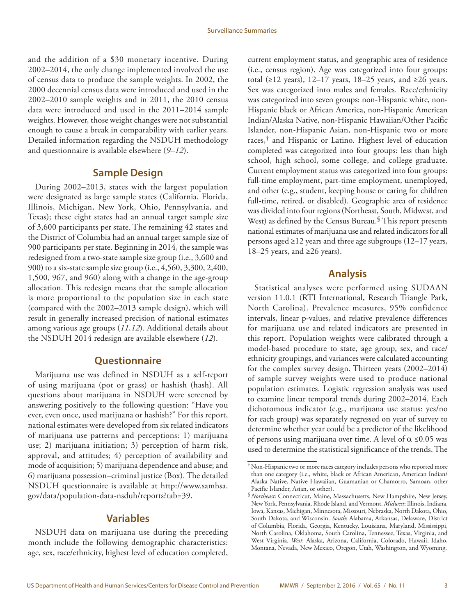and the addition of a \$30 monetary incentive. During 2002–2014, the only change implemented involved the use of census data to produce the sample weights. In 2002, the 2000 decennial census data were introduced and used in the 2002–2010 sample weights and in 2011, the 2010 census data were introduced and used in the 2011–2014 sample weights. However, those weight changes were not substantial enough to cause a break in comparability with earlier years. Detailed information regarding the NSDUH methodology and questionnaire is available elsewhere (*9–12*).

### **Sample Design**

During 2002–2013, states with the largest population were designated as large sample states (California, Florida, Illinois, Michigan, New York, Ohio, Pennsylvania, and Texas); these eight states had an annual target sample size of 3,600 participants per state. The remaining 42 states and the District of Columbia had an annual target sample size of 900 participants per state. Beginning in 2014, the sample was redesigned from a two-state sample size group (i.e., 3,600 and 900) to a six-state sample size group (i.e., 4,560, 3,300, 2,400, 1,500, 967, and 960) along with a change in the age-group allocation. This redesign means that the sample allocation is more proportional to the population size in each state (compared with the 2002–2013 sample design), which will result in generally increased precision of national estimates among various age groups (*11,12*). Additional details about the NSDUH 2014 redesign are available elsewhere (*12*).

#### **Questionnaire**

Marijuana use was defined in NSDUH as a self-report of using marijuana (pot or grass) or hashish (hash). All questions about marijuana in NSDUH were screened by answering positively to the following question: "Have you ever, even once, used marijuana or hashish?" For this report, national estimates were developed from six related indicators of marijuana use patterns and perceptions: 1) marijuana use; 2) marijuana initiation; 3) perception of harm risk, approval, and attitudes; 4) perception of availability and mode of acquisition; 5) marijuana dependence and abuse; and 6) marijuana possession–criminal justice (Box). The detailed NSDUH questionnaire is available at [http://www.samhsa.](http://www.samhsa.gov/data/population-data-nsduh/reports?tab=39) [gov/data/population-data-nsduh/reports?tab=39](http://www.samhsa.gov/data/population-data-nsduh/reports?tab=39).

### **Variables**

NSDUH data on marijuana use during the preceding month include the following demographic characteristics: age, sex, race/ethnicity, highest level of education completed, current employment status, and geographic area of residence (i.e., census region). Age was categorized into four groups: total (≥12 years), 12–17 years, 18–25 years, and ≥26 years. Sex was categorized into males and females. Race/ethnicity was categorized into seven groups: non-Hispanic white, non-Hispanic black or African America, non-Hispanic American Indian/Alaska Native, non-Hispanic Hawaiian/Other Pacific Islander, non-Hispanic Asian, non-Hispanic two or more races,† and Hispanic or Latino. Highest level of education completed was categorized into four groups: less than high school, high school, some college, and college graduate. Current employment status was categorized into four groups: full-time employment, part-time employment, unemployed, and other (e.g., student, keeping house or caring for children full-time, retired, or disabled). Geographic area of residence was divided into four regions (Northeast, South, Midwest, and West) as defined by the Census Bureau.<sup>§</sup> This report presents national estimates of marijuana use and related indicators for all persons aged ≥12 years and three age subgroups (12–17 years, 18–25 years, and ≥26 years).

### **Analysis**

Statistical analyses were performed using SUDAAN version 11.0.1 (RTI International, Research Triangle Park, North Carolina). Prevalence measures, 95% confidence intervals, linear p-values, and relative prevalence differences for marijuana use and related indicators are presented in this report. Population weights were calibrated through a model-based procedure to state, age group, sex, and race/ ethnicity groupings, and variances were calculated accounting for the complex survey design. Thirteen years (2002–2014) of sample survey weights were used to produce national population estimates. Logistic regression analysis was used to examine linear temporal trends during 2002–2014. Each dichotomous indicator (e.g., marijuana use status: yes/no for each group) was separately regressed on year of survey to determine whether year could be a predictor of the likelihood of persons using marijuana over time. A level of  $\alpha \le 0.05$  was used to determine the statistical significance of the trends. The

<sup>†</sup>Non-Hispanic two or more races category includes persons who reported more than one category (i.e., white, black or African American, American Indian/ Alaska Native, Native Hawaiian, Guamanian or Chamorro, Samoan, other Pacific Islander, Asian, or other).

<sup>§</sup>*Northeast*: Connecticut, Maine, Massachusetts, New Hampshire, New Jersey, New York, Pennsylvania, Rhode Island, and Vermont. *Midwest*: Illinois, Indiana, Iowa, Kansas, Michigan, Minnesota, Missouri, Nebraska, North Dakota, Ohio, South Dakota, and Wisconsin. *South*: Alabama, Arkansas, Delaware, District of Columbia, Florida, Georgia, Kentucky, Louisiana, Maryland, Mississippi, North Carolina, Oklahoma, South Carolina, Tennessee, Texas, Virginia, and West Virginia. *West*: Alaska, Arizona, California, Colorado, Hawaii, Idaho, Montana, Nevada, New Mexico, Oregon, Utah, Washington, and Wyoming.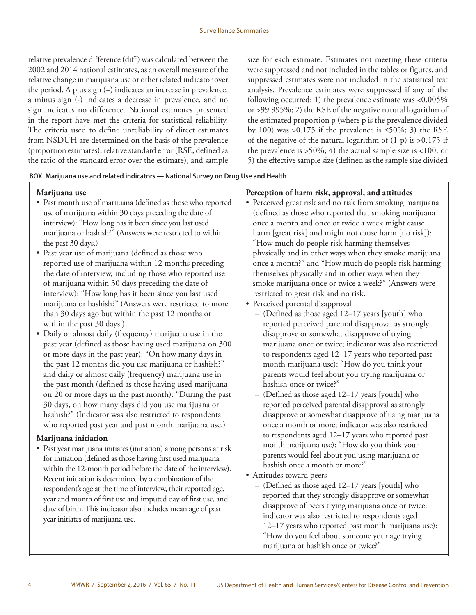relative prevalence difference (diff) was calculated between the 2002 and 2014 national estimates, as an overall measure of the relative change in marijuana use or other related indicator over the period. A plus sign (+) indicates an increase in prevalence, a minus sign (-) indicates a decrease in prevalence, and no sign indicates no difference. National estimates presented in the report have met the criteria for statistical reliability. The criteria used to define unreliability of direct estimates from NSDUH are determined on the basis of the prevalence (proportion estimates), relative standard error (RSE, defined as the ratio of the standard error over the estimate), and sample size for each estimate. Estimates not meeting these criteria were suppressed and not included in the tables or figures, and suppressed estimates were not included in the statistical test analysis. Prevalence estimates were suppressed if any of the following occurred: 1) the prevalence estimate was <0.005% or >99.995%; 2) the RSE of the negative natural logarithm of the estimated proportion p (where p is the prevalence divided by 100) was >0.175 if the prevalence is  $\leq$ 50%; 3) the RSE of the negative of the natural logarithm of  $(1-p)$  is  $>0.175$  if the prevalence is  $>50\%$ ; 4) the actual sample size is  $<100$ ; or 5) the effective sample size (defined as the sample size divided

#### **BOX. Marijuana use and related indicators — National Survey on Drug Use and Health**

#### **Marijuana use**

- Past month use of marijuana (defined as those who reported use of marijuana within 30 days preceding the date of interview): "How long has it been since you last used marijuana or hashish?" (Answers were restricted to within the past 30 days.)
- Past year use of marijuana (defined as those who reported use of marijuana within 12 months preceding the date of interview, including those who reported use of marijuana within 30 days preceding the date of interview): "How long has it been since you last used marijuana or hashish?" (Answers were restricted to more than 30 days ago but within the past 12 months or within the past 30 days.)
- Daily or almost daily (frequency) marijuana use in the past year (defined as those having used marijuana on 300 or more days in the past year): "On how many days in the past 12 months did you use marijuana or hashish?" and daily or almost daily (frequency) marijuana use in the past month (defined as those having used marijuana on 20 or more days in the past month): "During the past 30 days, on how many days did you use marijuana or hashish?" (Indicator was also restricted to respondents who reported past year and past month marijuana use.)

#### **Marijuana initiation**

• Past year marijuana initiates (initiation) among persons at risk for initiation (defined as those having first used marijuana within the 12-month period before the date of the interview). Recent initiation is determined by a combination of the respondent's age at the time of interview, their reported age, year and month of first use and imputed day of first use, and date of birth. This indicator also includes mean age of past year initiates of marijuana use.

### **Perception of harm risk, approval, and attitudes**

- Perceived great risk and no risk from smoking marijuana (defined as those who reported that smoking marijuana once a month and once or twice a week might cause harm [great risk] and might not cause harm [no risk]): "How much do people risk harming themselves physically and in other ways when they smoke marijuana once a month?" and "How much do people risk harming themselves physically and in other ways when they smoke marijuana once or twice a week?" (Answers were restricted to great risk and no risk.
- Perceived parental disapproval
	- (Defined as those aged 12–17 years [youth] who reported perceived parental disapproval as strongly disapprove or somewhat disapprove of trying marijuana once or twice; indicator was also restricted to respondents aged 12–17 years who reported past month marijuana use): "How do you think your parents would feel about you trying marijuana or hashish once or twice?"
	- (Defined as those aged 12–17 years [youth] who reported perceived parental disapproval as strongly disapprove or somewhat disapprove of using marijuana once a month or more; indicator was also restricted to respondents aged 12–17 years who reported past month marijuana use): "How do you think your parents would feel about you using marijuana or hashish once a month or more?"
- Attitudes toward peers
	- (Defined as those aged 12–17 years [youth] who reported that they strongly disapprove or somewhat disapprove of peers trying marijuana once or twice; indicator was also restricted to respondents aged 12–17 years who reported past month marijuana use): "How do you feel about someone your age trying marijuana or hashish once or twice?"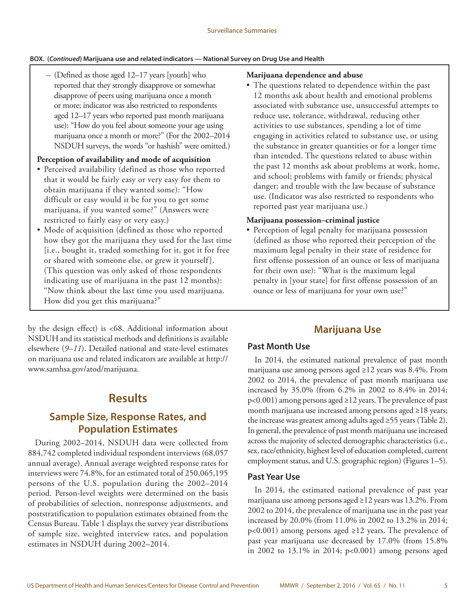#### <span id="page-6-0"></span>**BOX. (***Continued***) Marijuana use and related indicators — National Survey on Drug Use and Health**

– (Defined as those aged 12–17 years [youth] who reported that they strongly disapprove or somewhat disapprove of peers using marijuana once a month or more; indicator was also restricted to respondents aged 12–17 years who reported past month marijuana use): "How do you feel about someone your age using marijuana once a month or more?" (For the 2002–2014 NSDUH surveys, the words "or hashish" were omitted.)

#### **Perception of availability and mode of acquisition**

- Perceived availability (defined as those who reported that it would be fairly easy or very easy for them to obtain marijuana if they wanted some): "How difficult or easy would it be for you to get some marijuana, if you wanted some?" (Answers were restricted to fairly easy or very easy.)
- Mode of acquisition (defined as those who reported how they got the marijuana they used for the last time [i.e., bought it, traded something for it, got it for free or shared with someone else, or grew it yourself ]. (This question was only asked of those respondents indicating use of marijuana in the past 12 months): "Now think about the last time you used marijuana. How did you get this marijuana?"

by the design effect) is <68. Additional information about NSDUH and its statistical methods and definitions is available elsewhere (*9*–*11*). Detailed national and state-level estimates on marijuana use and related indicators are available at http:// www.samhsa.gov/atod/marijuana.

# **Results**

# **Sample Size, Response Rates, and Population Estimates**

During 2002–2014, NSDUH data were collected from 884,742 completed individual respondent interviews (68,057 annual average). Annual average weighted response rates for interviews were 74.8%, for an estimated total of 250,065,195 persons of the U.S. population during the 2002–2014 period. Person-level weights were determined on the basis of probabilities of selection, nonresponse adjustments, and poststratification to population estimates obtained from the Census Bureau. Table 1 displays the survey year distributions of sample size, weighted interview rates, and population estimates in NSDUH during 2002–2014.

#### **Marijuana dependence and abuse**

• The questions related to dependence within the past 12 months ask about health and emotional problems associated with substance use, unsuccessful attempts to reduce use, tolerance, withdrawal, reducing other activities to use substances, spending a lot of time engaging in activities related to substance use, or using the substance in greater quantities or for a longer time than intended. The questions related to abuse within the past 12 months ask about problems at work, home, and school; problems with family or friends; physical danger; and trouble with the law because of substance use. (Indicator was also restricted to respondents who reported past year marijuana use.)

#### **Marijuana possession–criminal justice**

• Perception of legal penalty for marijuana possession (defined as those who reported their perception of the maximum legal penalty in their state of residence for first offense possession of an ounce or less of marijuana for their own use): "What is the maximum legal penalty in [your state] for first offense possession of an ounce or less of marijuana for your own use?"

# **Marijuana Use**

### **Past Month Use**

In 2014, the estimated national prevalence of past month marijuana use among persons aged ≥12 years was 8.4%. From 2002 to 2014, the prevalence of past month marijuana use increased by 35.0% (from 6.2% in 2002 to 8.4% in 2014; p<0.001) among persons aged ≥12 years. The prevalence of past month marijuana use increased among persons aged ≥18 years; the increase was greatest among adults aged ≥55 years (Table 2). In general, the prevalence of past month marijuana use increased across the majority of selected demographic characteristics (i.e., sex, race/ethnicity, highest level of education completed, current employment status, and U.S. geographic region) (Figures 1–5).

#### **Past Year Use**

In 2014, the estimated national prevalence of past year marijuana use among persons aged ≥12 years was 13.2%. From 2002 to 2014, the prevalence of marijuana use in the past year increased by 20.0% (from 11.0% in 2002 to 13.2% in 2014;  $p<0.001$ ) among persons aged ≥12 years. The prevalence of past year marijuana use decreased by 17.0% (from 15.8% in 2002 to 13.1% in 2014; p<0.001) among persons aged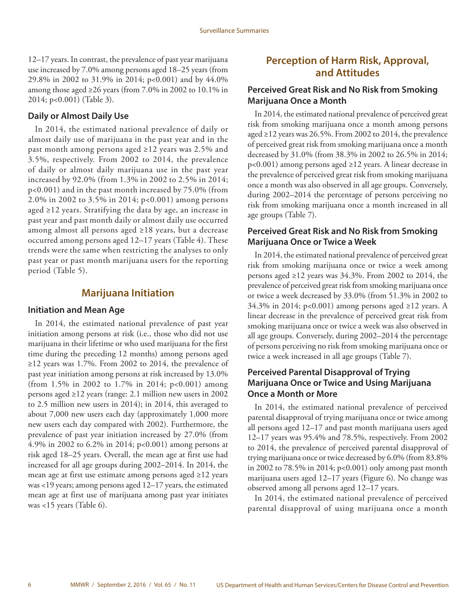12–17 years. In contrast, the prevalence of past year marijuana use increased by 7.0% among persons aged 18–25 years (from 29.8% in 2002 to 31.9% in 2014; p<0.001) and by 44.0% among those aged ≥26 years (from 7.0% in 2002 to 10.1% in 2014; p<0.001) (Table 3).

#### **Daily or Almost Daily Use**

In 2014, the estimated national prevalence of daily or almost daily use of marijuana in the past year and in the past month among persons aged ≥12 years was 2.5% and 3.5%, respectively. From 2002 to 2014, the prevalence of daily or almost daily marijuana use in the past year increased by 92.0% (from 1.3% in 2002 to 2.5% in 2014; p<0.001) and in the past month increased by 75.0% (from 2.0% in 2002 to 3.5% in 2014; p<0.001) among persons aged ≥12 years. Stratifying the data by age, an increase in past year and past month daily or almost daily use occurred among almost all persons aged ≥18 years, but a decrease occurred among persons aged 12–17 years (Table 4). These trends were the same when restricting the analyses to only past year or past month marijuana users for the reporting period (Table 5).

# **Marijuana Initiation**

#### **Initiation and Mean Age**

In 2014, the estimated national prevalence of past year initiation among persons at risk (i.e., those who did not use marijuana in their lifetime or who used marijuana for the first time during the preceding 12 months) among persons aged ≥12 years was 1.7%. From 2002 to 2014, the prevalence of past year initiation among persons at risk increased by 13.0% (from 1.5% in 2002 to 1.7% in 2014; p<0.001) among persons aged ≥12 years (range: 2.1 million new users in 2002 to 2.5 million new users in 2014); in 2014, this averaged to about 7,000 new users each day (approximately 1,000 more new users each day compared with 2002). Furthermore, the prevalence of past year initiation increased by 27.0% (from 4.9% in 2002 to 6.2% in 2014; p<0.001) among persons at risk aged 18–25 years. Overall, the mean age at first use had increased for all age groups during 2002–2014. In 2014, the mean age at first use estimate among persons aged ≥12 years was <19 years; among persons aged 12–17 years, the estimated mean age at first use of marijuana among past year initiates was <15 years (Table 6).

# **Perception of Harm Risk, Approval, and Attitudes**

### **Perceived Great Risk and No Risk from Smoking Marijuana Once a Month**

In 2014, the estimated national prevalence of perceived great risk from smoking marijuana once a month among persons aged ≥12 years was 26.5%. From 2002 to 2014, the prevalence of perceived great risk from smoking marijuana once a month decreased by 31.0% (from 38.3% in 2002 to 26.5% in 2014; p<0.001) among persons aged ≥12 years. A linear decrease in the prevalence of perceived great risk from smoking marijuana once a month was also observed in all age groups. Conversely, during 2002–2014 the percentage of persons perceiving no risk from smoking marijuana once a month increased in all age groups (Table 7).

### **Perceived Great Risk and No Risk from Smoking Marijuana Once or Twice a Week**

In 2014, the estimated national prevalence of perceived great risk from smoking marijuana once or twice a week among persons aged ≥12 years was 34.3%. From 2002 to 2014, the prevalence of perceived great risk from smoking marijuana once or twice a week decreased by 33.0% (from 51.3% in 2002 to 34.3% in 2014; p<0.001) among persons aged ≥12 years. A linear decrease in the prevalence of perceived great risk from smoking marijuana once or twice a week was also observed in all age groups. Conversely, during 2002–2014 the percentage of persons perceiving no risk from smoking marijuana once or twice a week increased in all age groups (Table 7).

### **Perceived Parental Disapproval of Trying Marijuana Once or Twice and Using Marijuana Once a Month or More**

In 2014, the estimated national prevalence of perceived parental disapproval of trying marijuana once or twice among all persons aged 12–17 and past month marijuana users aged 12–17 years was 95.4% and 78.5%, respectively. From 2002 to 2014, the prevalence of perceived parental disapproval of trying marijuana once or twice decreased by 6.0% (from 83.8% in 2002 to 78.5% in 2014; p<0.001) only among past month marijuana users aged 12–17 years (Figure 6). No change was observed among all persons aged 12–17 years.

In 2014, the estimated national prevalence of perceived parental disapproval of using marijuana once a month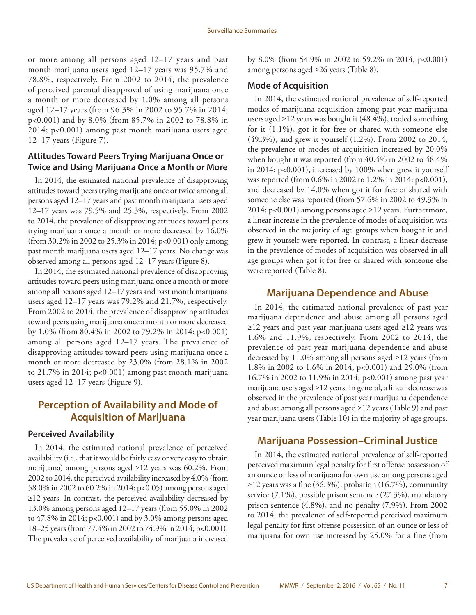or more among all persons aged 12–17 years and past month marijuana users aged 12–17 years was 95.7% and 78.8%, respectively. From 2002 to 2014, the prevalence of perceived parental disapproval of using marijuana once a month or more decreased by 1.0% among all persons aged 12–17 years (from 96.3% in 2002 to 95.7% in 2014; p<0.001) and by 8.0% (from 85.7% in 2002 to 78.8% in 2014; p<0.001) among past month marijuana users aged 12–17 years (Figure 7).

### **Attitudes Toward Peers Trying Marijuana Once or Twice and Using Marijuana Once a Month or More**

In 2014, the estimated national prevalence of disapproving attitudes toward peers trying marijuana once or twice among all persons aged 12–17 years and past month marijuana users aged 12–17 years was 79.5% and 25.3%, respectively. From 2002 to 2014, the prevalence of disapproving attitudes toward peers trying marijuana once a month or more decreased by 16.0% (from 30.2% in 2002 to 25.3% in 2014; p<0.001) only among past month marijuana users aged 12–17 years. No change was observed among all persons aged 12–17 years (Figure 8).

In 2014, the estimated national prevalence of disapproving attitudes toward peers using marijuana once a month or more among all persons aged 12–17 years and past month marijuana users aged 12–17 years was 79.2% and 21.7%, respectively. From 2002 to 2014, the prevalence of disapproving attitudes toward peers using marijuana once a month or more decreased by 1.0% (from 80.4% in 2002 to 79.2% in 2014; p<0.001) among all persons aged 12–17 years. The prevalence of disapproving attitudes toward peers using marijuana once a month or more decreased by 23.0% (from 28.1% in 2002 to 21.7% in 2014; p<0.001) among past month marijuana users aged 12–17 years (Figure 9).

# **Perception of Availability and Mode of Acquisition of Marijuana**

#### **Perceived Availability**

In 2014, the estimated national prevalence of perceived availability (i.e., that it would be fairly easy or very easy to obtain marijuana) among persons aged ≥12 years was 60.2%. From 2002 to 2014, the perceived availability increased by 4.0% (from 58.0% in 2002 to 60.2% in 2014; p<0.05) among persons aged ≥12 years. In contrast, the perceived availability decreased by 13.0% among persons aged 12–17 years (from 55.0% in 2002 to 47.8% in 2014; p<0.001) and by 3.0% among persons aged 18–25 years (from 77.4% in 2002 to 74.9% in 2014; p<0.001). The prevalence of perceived availability of marijuana increased by 8.0% (from 54.9% in 2002 to 59.2% in 2014; p<0.001) among persons aged ≥26 years (Table 8).

#### **Mode of Acquisition**

In 2014, the estimated national prevalence of self-reported modes of marijuana acquisition among past year marijuana users aged ≥12 years was bought it (48.4%), traded something for it (1.1%), got it for free or shared with someone else (49.3%), and grew it yourself (1.2%). From 2002 to 2014, the prevalence of modes of acquisition increased by 20.0% when bought it was reported (from 40.4% in 2002 to 48.4% in 2014; p<0.001), increased by 100% when grew it yourself was reported (from 0.6% in 2002 to 1.2% in 2014; p<0.001), and decreased by 14.0% when got it for free or shared with someone else was reported (from 57.6% in 2002 to 49.3% in 2014; p<0.001) among persons aged ≥12 years. Furthermore, a linear increase in the prevalence of modes of acquisition was observed in the majority of age groups when bought it and grew it yourself were reported. In contrast, a linear decrease in the prevalence of modes of acquisition was observed in all age groups when got it for free or shared with someone else were reported (Table 8).

#### **Marijuana Dependence and Abuse**

In 2014, the estimated national prevalence of past year marijuana dependence and abuse among all persons aged ≥12 years and past year marijuana users aged ≥12 years was 1.6% and 11.9%, respectively. From 2002 to 2014, the prevalence of past year marijuana dependence and abuse decreased by 11.0% among all persons aged ≥12 years (from 1.8% in 2002 to 1.6% in 2014; p<0.001) and 29.0% (from 16.7% in 2002 to 11.9% in 2014; p<0.001) among past year marijuana users aged ≥12 years. In general, a linear decrease was observed in the prevalence of past year marijuana dependence and abuse among all persons aged ≥12 years (Table 9) and past year marijuana users (Table 10) in the majority of age groups.

### **Marijuana Possession–Criminal Justice**

In 2014, the estimated national prevalence of self-reported perceived maximum legal penalty for first offense possession of an ounce or less of marijuana for own use among persons aged ≥12 years was a fine (36.3%), probation (16.7%), community service (7.1%), possible prison sentence (27.3%), mandatory prison sentence (4.8%), and no penalty (7.9%). From 2002 to 2014, the prevalence of self-reported perceived maximum legal penalty for first offense possession of an ounce or less of marijuana for own use increased by 25.0% for a fine (from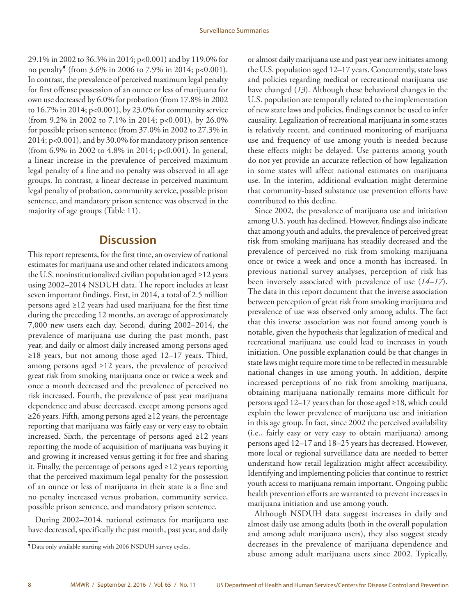<span id="page-9-0"></span>29.1% in 2002 to 36.3% in 2014; p<0.001) and by 119.0% for no penalty¶ (from 3.6% in 2006 to 7.9% in 2014; p<0.001). In contrast, the prevalence of perceived maximum legal penalty for first offense possession of an ounce or less of marijuana for own use decreased by 6.0% for probation (from 17.8% in 2002 to 16.7% in 2014; p<0.001), by 23.0% for community service (from 9.2% in 2002 to 7.1% in 2014; p<0.001), by 26.0% for possible prison sentence (from 37.0% in 2002 to 27.3% in 2014; p<0.001), and by 30.0% for mandatory prison sentence (from 6.9% in 2002 to 4.8% in 2014; p<0.001). In general, a linear increase in the prevalence of perceived maximum legal penalty of a fine and no penalty was observed in all age groups. In contrast, a linear decrease in perceived maximum legal penalty of probation, community service, possible prison sentence, and mandatory prison sentence was observed in the majority of age groups (Table 11).

# **Discussion**

This report represents, for the first time, an overview of national estimates for marijuana use and other related indicators among the U.S. noninstitutionalized civilian population aged ≥12 years using 2002–2014 NSDUH data. The report includes at least seven important findings. First, in 2014, a total of 2.5 million persons aged ≥12 years had used marijuana for the first time during the preceding 12 months, an average of approximately 7,000 new users each day. Second, during 2002–2014, the prevalence of marijuana use during the past month, past year, and daily or almost daily increased among persons aged ≥18 years, but not among those aged 12–17 years. Third, among persons aged ≥12 years, the prevalence of perceived great risk from smoking marijuana once or twice a week and once a month decreased and the prevalence of perceived no risk increased. Fourth, the prevalence of past year marijuana dependence and abuse decreased, except among persons aged ≥26 years. Fifth, among persons aged ≥12 years, the percentage reporting that marijuana was fairly easy or very easy to obtain increased. Sixth, the percentage of persons aged ≥12 years reporting the mode of acquisition of marijuana was buying it and growing it increased versus getting it for free and sharing it. Finally, the percentage of persons aged ≥12 years reporting that the perceived maximum legal penalty for the possession of an ounce or less of marijuana in their state is a fine and no penalty increased versus probation, community service, possible prison sentence, and mandatory prison sentence.

During 2002–2014, national estimates for marijuana use have decreased, specifically the past month, past year, and daily or almost daily marijuana use and past year new initiates among the U.S. population aged 12–17 years. Concurrently, state laws and policies regarding medical or recreational marijuana use have changed (*13*). Although these behavioral changes in the U.S. population are temporally related to the implementation of new state laws and policies, findings cannot be used to infer causality. Legalization of recreational marijuana in some states is relatively recent, and continued monitoring of marijuana use and frequency of use among youth is needed because these effects might be delayed. Use patterns among youth do not yet provide an accurate reflection of how legalization in some states will affect national estimates on marijuana use. In the interim, additional evaluation might determine that community-based substance use prevention efforts have contributed to this decline.

Since 2002, the prevalence of marijuana use and initiation among U.S. youth has declined. However, findings also indicate that among youth and adults, the prevalence of perceived great risk from smoking marijuana has steadily decreased and the prevalence of perceived no risk from smoking marijuana once or twice a week and once a month has increased. In previous national survey analyses, perception of risk has been inversely associated with prevalence of use (*14–17*). The data in this report document that the inverse association between perception of great risk from smoking marijuana and prevalence of use was observed only among adults. The fact that this inverse association was not found among youth is notable, given the hypothesis that legalization of medical and recreational marijuana use could lead to increases in youth initiation. One possible explanation could be that changes in state laws might require more time to be reflected in measurable national changes in use among youth. In addition, despite increased perceptions of no risk from smoking marijuana, obtaining marijuana nationally remains more difficult for persons aged 12–17 years than for those aged ≥18, which could explain the lower prevalence of marijuana use and initiation in this age group. In fact, since 2002 the perceived availability (i.e., fairly easy or very easy to obtain marijuana) among persons aged 12–17 and 18–25 years has decreased. However, more local or regional surveillance data are needed to better understand how retail legalization might affect accessibility. Identifying and implementing policies that continue to restrict youth access to marijuana remain important. Ongoing public health prevention efforts are warranted to prevent increases in marijuana initiation and use among youth.

Although NSDUH data suggest increases in daily and almost daily use among adults (both in the overall population and among adult marijuana users), they also suggest steady decreases in the prevalence of marijuana dependence and abuse among adult marijuana users since 2002. Typically,

<sup>¶</sup>Data only available starting with 2006 NSDUH survey cycles.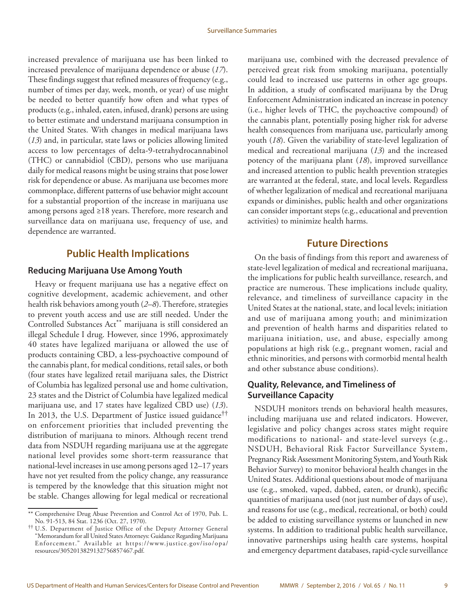increased prevalence of marijuana use has been linked to increased prevalence of marijuana dependence or abuse (*17*). These findings suggest that refined measures of frequency (e.g., number of times per day, week, month, or year) of use might be needed to better quantify how often and what types of products (e.g., inhaled, eaten, infused, drank) persons are using to better estimate and understand marijuana consumption in the United States. With changes in medical marijuana laws (*13*) and, in particular, state laws or policies allowing limited access to low percentages of delta-9-tetrahydrocannabinol (THC) or cannabidiol (CBD), persons who use marijuana daily for medical reasons might be using strains that pose lower risk for dependence or abuse. As marijuana use becomes more commonplace, different patterns of use behavior might account for a substantial proportion of the increase in marijuana use among persons aged ≥18 years. Therefore, more research and surveillance data on marijuana use, frequency of use, and dependence are warranted.

# **Public Health Implications**

#### **Reducing Marijuana Use Among Youth**

Heavy or frequent marijuana use has a negative effect on cognitive development, academic achievement, and other health risk behaviors among youth (*2–8*). Therefore, strategies to prevent youth access and use are still needed. Under the Controlled Substances Act<sup>\*\*</sup> marijuana is still considered an illegal Schedule I drug. However, since 1996, approximately 40 states have legalized marijuana or allowed the use of products containing CBD, a less-psychoactive compound of the cannabis plant, for medical conditions, retail sales, or both (four states have legalized retail marijuana sales, the District of Columbia has legalized personal use and home cultivation, 23 states and the District of Columbia have legalized medical marijuana use, and 17 states have legalized CBD use) (*13*). In 2013, the U.S. Department of Justice issued guidance†† on enforcement priorities that included preventing the distribution of marijuana to minors. Although recent trend data from NSDUH regarding marijuana use at the aggregate national level provides some short-term reassurance that national-level increases in use among persons aged 12–17 years have not yet resulted from the policy change, any reassurance is tempered by the knowledge that this situation might not be stable. Changes allowing for legal medical or recreational

marijuana use, combined with the decreased prevalence of perceived great risk from smoking marijuana, potentially could lead to increased use patterns in other age groups. In addition, a study of confiscated marijuana by the Drug Enforcement Administration indicated an increase in potency (i.e., higher levels of THC, the psychoactive compound) of the cannabis plant, potentially posing higher risk for adverse health consequences from marijuana use, particularly among youth (*18*). Given the variability of state-level legalization of medical and recreational marijuana (*13*) and the increased potency of the marijuana plant (*18*), improved surveillance and increased attention to public health prevention strategies are warranted at the federal, state, and local levels. Regardless of whether legalization of medical and recreational marijuana expands or diminishes, public health and other organizations can consider important steps (e.g., educational and prevention activities) to minimize health harms.

# **Future Directions**

On the basis of findings from this report and awareness of state-level legalization of medical and recreational marijuana, the implications for public health surveillance, research, and practice are numerous. These implications include quality, relevance, and timeliness of surveillance capacity in the United States at the national, state, and local levels; initiation and use of marijuana among youth; and minimization and prevention of health harms and disparities related to marijuana initiation, use, and abuse, especially among populations at high risk (e.g., pregnant women, racial and ethnic minorities, and persons with cormorbid mental health and other substance abuse conditions).

### **Quality, Relevance, and Timeliness of Surveillance Capacity**

NSDUH monitors trends on behavioral health measures, including marijuana use and related indicators. However, legislative and policy changes across states might require modifications to national- and state-level surveys (e.g., NSDUH, Behavioral Risk Factor Surveillance System, Pregnancy Risk Assessment Monitoring System, and Youth Risk Behavior Survey) to monitor behavioral health changes in the United States. Additional questions about mode of marijuana use (e.g., smoked, vaped, dabbed, eaten, or drunk), specific quantities of marijuana used (not just number of days of use), and reasons for use (e.g., medical, recreational, or both) could be added to existing surveillance systems or launched in new systems. In addition to traditional public health surveillance, innovative partnerships using health care systems, hospital and emergency department databases, rapid-cycle surveillance

<sup>\*\*</sup> Comprehensive Drug Abuse Prevention and Control Act of 1970, Pub. L. No. 91-513, 84 Stat. 1236 (Oct. 27, 1970).

<sup>††</sup> U.S. Department of Justice Office of the Deputy Attorney General "Memorandum for all United States Attorneys: Guidance Regarding Marijuana Enforcement." Available at [https://www.justice.gov/iso/opa/](https://www.justice.gov/iso/opa/resources/3052013829132756857467.pdf) [resources/3052013829132756857467.pdf.](https://www.justice.gov/iso/opa/resources/3052013829132756857467.pdf)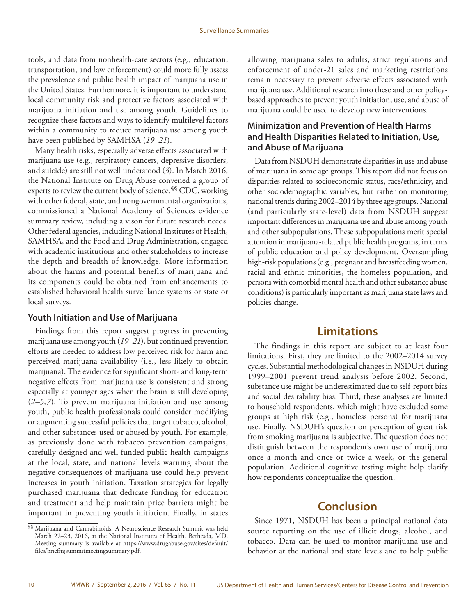<span id="page-11-0"></span>tools, and data from nonhealth-care sectors (e.g., education, transportation, and law enforcement) could more fully assess the prevalence and public health impact of marijuana use in the United States. Furthermore, it is important to understand local community risk and protective factors associated with marijuana initiation and use among youth. Guidelines to recognize these factors and ways to identify multilevel factors within a community to reduce marijuana use among youth have been published by SAMHSA (*19–21*).

Many health risks, especially adverse effects associated with marijuana use (e.g., respiratory cancers, depressive disorders, and suicide) are still not well understood (*3*). In March 2016, the National Institute on Drug Abuse convened a group of experts to review the current body of science.<sup>§§</sup> CDC, working with other federal, state, and nongovernmental organizations, commissioned a National Academy of Sciences evidence summary review, including a vison for future research needs. Other federal agencies, including National Institutes of Health, SAMHSA, and the Food and Drug Administration, engaged with academic institutions and other stakeholders to increase the depth and breadth of knowledge. More information about the harms and potential benefits of marijuana and its components could be obtained from enhancements to established behavioral health surveillance systems or state or local surveys.

### **Youth Initiation and Use of Marijuana**

Findings from this report suggest progress in preventing marijuana use among youth (*19–21*), but continued prevention efforts are needed to address low perceived risk for harm and perceived marijuana availability (i.e., less likely to obtain marijuana). The evidence for significant short- and long-term negative effects from marijuana use is consistent and strong especially at younger ages when the brain is still developing (*2–5,7*). To prevent marijuana initiation and use among youth, public health professionals could consider modifying or augmenting successful policies that target tobacco, alcohol, and other substances used or abused by youth. For example, as previously done with tobacco prevention campaigns, carefully designed and well-funded public health campaigns at the local, state, and national levels warning about the negative consequences of marijuana use could help prevent increases in youth initiation. Taxation strategies for legally purchased marijuana that dedicate funding for education and treatment and help maintain price barriers might be important in preventing youth initiation. Finally, in states

allowing marijuana sales to adults, strict regulations and enforcement of under-21 sales and marketing restrictions remain necessary to prevent adverse effects associated with marijuana use. Additional research into these and other policybased approaches to prevent youth initiation, use, and abuse of marijuana could be used to develop new interventions.

### **Minimization and Prevention of Health Harms and Health Disparities Related to Initiation, Use, and Abuse of Marijuana**

Data from NSDUH demonstrate disparities in use and abuse of marijuana in some age groups. This report did not focus on disparities related to socioeconomic status, race/ethnicity, and other sociodemographic variables, but rather on monitoring national trends during 2002–2014 by three age groups. National (and particularly state-level) data from NSDUH suggest important differences in marijuana use and abuse among youth and other subpopulations. These subpopulations merit special attention in marijuana-related public health programs, in terms of public education and policy development. Oversampling high-risk populations (e.g., pregnant and breastfeeding women, racial and ethnic minorities, the homeless population, and persons with comorbid mental health and other substance abuse conditions) is particularly important as marijuana state laws and policies change.

# **Limitations**

The findings in this report are subject to at least four limitations. First, they are limited to the 2002–2014 survey cycles. Substantial methodological changes in NSDUH during 1999–2001 prevent trend analysis before 2002. Second, substance use might be underestimated due to self-report bias and social desirability bias. Third, these analyses are limited to household respondents, which might have excluded some groups at high risk (e.g., homeless persons) for marijuana use. Finally, NSDUH's question on perception of great risk from smoking marijuana is subjective. The question does not distinguish between the respondent's own use of marijuana once a month and once or twice a week, or the general population. Additional cognitive testing might help clarify how respondents conceptualize the question.

# **Conclusion**

Since 1971, NSDUH has been a principal national data source reporting on the use of illicit drugs, alcohol, and tobacco. Data can be used to monitor marijuana use and behavior at the national and state levels and to help public

<sup>§§</sup> Marijuana and Cannabinoids: A Neuroscience Research Summit was held March 22–23, 2016, at the National Institutes of Health, Bethesda, MD. Meeting summary is available at [https://www.drugabuse.gov/sites/default/](https://www.drugabuse.gov/sites/default/files/briefmjsummitmeetingsummary.pdf) [files/briefmjsummitmeetingsummary.pdf](https://www.drugabuse.gov/sites/default/files/briefmjsummitmeetingsummary.pdf).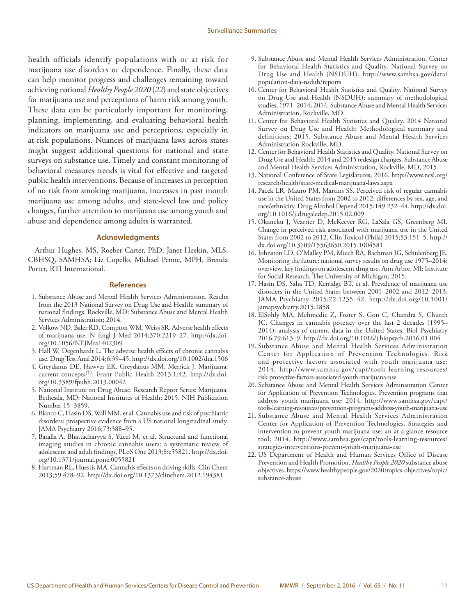<span id="page-12-0"></span>health officials identify populations with or at risk for marijuana use disorders or dependence. Finally, these data can help monitor progress and challenges remaining toward achieving national *Healthy People 2020* (*22*) and state objectives for marijuana use and perceptions of harm risk among youth. These data can be particularly important for monitoring, planning, implementing, and evaluating behavioral health indicators on marijuana use and perceptions, especially in at-risk populations. Nuances of marijuana laws across states might suggest additional questions for national and state surveys on substance use. Timely and constant monitoring of behavioral measures trends is vital for effective and targeted public health interventions. Because of increases in perception of no risk from smoking marijuana, increases in past month marijuana use among adults, and state-level law and policy changes, further attention to marijuana use among youth and abuse and dependence among adults is warranted.

#### **Acknowledgments**

Arthur Hughes, MS, Roeber Carter, PhD, Janet Heekin, MLS, CBHSQ, SAMHSA; Liz Copello, Michael Penne, MPH, Brenda Porter, RTI International.

#### **References**

- 1. Substance Abuse and Mental Health Services Administration. Results from the 2013 National Survey on Drug Use and Health: summary of national findings. Rockville, MD: Substance Abuse and Mental Health Services Administration; 2014.
- 2. Volkow ND, Baler RD, Compton WM, Weiss SR. Adverse health effects of marijuana use. N Engl J Med 2014;370:2219–27. [http://dx.doi.](http://dx.doi.org/10.1056/NEJMra1402309) [org/10.1056/NEJMra1402309](http://dx.doi.org/10.1056/NEJMra1402309)
- 3. Hall W, Degenhardt L. The adverse health effects of chronic cannabis use. Drug Test Anal 2014;6:39–45.<http://dx.doi.org/10.1002/dta.1506>
- 4. Greydanus DE, Hawver EK, Greydanus MM, Merrick J. Marijuana: current concepts(†). Front Public Health 2013;1:42. [http://dx.doi.](http://dx.doi.org/10.3389/fpubh.2013.00042) [org/10.3389/fpubh.2013.00042](http://dx.doi.org/10.3389/fpubh.2013.00042)
- 5. National Institute on Drug Abuse. Research Report Series: Marijuana. Bethesda, MD: National Institutes of Health; 2015. NIH Publication Number 15–3859.
- 6. Blanco C, Hasin DS, Wall MM, et al. Cannabis use and risk of psychiatric disorders: prospective evidence from a US national longitudinal study. JAMA Psychiatry 2016;73:388–95.
- 7. Batalla A, Bhattacharyya S, Yücel M, et al. Structural and functional imaging studies in chronic cannabis users: a systematic review of adolescent and adult findings. PLoS One 2013;8:e55821. [http://dx.doi.](http://dx.doi.org/10.1371/journal.pone.0055821) [org/10.1371/journal.pone.0055821](http://dx.doi.org/10.1371/journal.pone.0055821)
- 8. Hartman RL, Huestis MA. Cannabis effects on driving skills. Clin Chem 2013;59:478–92. http://dx.doi.org/10.1373/clinchem.2012.194381
- 9. Substance Abuse and Mental Health Services Administration, Center for Behavioral Health Statistics and Quality. National Survey on Drug Use and Health (NSDUH). [http://www.samhsa.gov/data/](http://www.samhsa.gov/data/population-data-nsduh/reports) [population-data-nsduh/reports](http://www.samhsa.gov/data/population-data-nsduh/reports)
- 10. Center for Behavioral Health Statistics and Quality. National Survey on Drug Use and Health (NSDUH): summary of methodological studies, 1971–2014; 2014. Substance Abuse and Mental Health Services Administration, Rockville, MD.
- 11. Center for Behavioral Health Statistics and Quality. 2014 National Survey on Drug Use and Health: Methodological summary and definitions; 2015. Substance Abuse and Mental Health Services Administration Rockville, MD.
- 12. Center for Behavioral Health Statistics and Quality. National Survey on Drug Use and Health: 2014 and 2015 redesign changes. Substance Abuse and Mental Health Services Administration, Rockville, MD; 2015.
- 13. National Conference of State Legislatures; 2016. [http://www.ncsl.org/](http://www.ncsl.org/research/health/state-medical-marijuana-laws.aspx) [research/health/state-medical-marijuana-laws.aspx](http://www.ncsl.org/research/health/state-medical-marijuana-laws.aspx)
- 14. Pacek LR, Mauro PM, Martins SS. Perceived risk of regular cannabis use in the United States from 2002 to 2012: differences by sex, age, and race/ethnicity. Drug Alcohol Depend 2015;149:232–44. [http://dx.doi.](http://dx.doi.org/10.1016/j.drugalcdep.2015.02.009) [org/10.1016/j.drugalcdep.2015.02.009](http://dx.doi.org/10.1016/j.drugalcdep.2015.02.009)
- 15. Okaneku J, Vearrier D, McKeever RG, LaSala GS, Greenberg MI. Change in perceived risk associated with marijuana use in the United States from 2002 to 2012. Clin Toxicol (Phila) 2015;53:151–5. [http://](http://dx.doi.org/10.3109/15563650.2015.1004581) [dx.doi.org/10.3109/15563650.2015.1004581](http://dx.doi.org/10.3109/15563650.2015.1004581)
- 16. Johnston LD, O'Malley PM, Miech RA, Bachman JG, Schulenberg JE. Monitoring the future: national survey results on drug use 1975–2014: overview, key findings on adolescent drug use. Ann Arbor, MI: Institute for Social Research, The University of Michigan; 2015.
- 17. Hasin DS, Saha TD, Kerridge BT, et al. Prevalence of marijuana use disorders in the United States between 2001–2002 and 2012–2013. JAMA Psychiatry 2015;72:1235–42. [http://dx.doi.org/10.1001/](http://dx.doi.org/10.1001/jamapsychiatry.2015.1858) [jamapsychiatry.2015.1858](http://dx.doi.org/10.1001/jamapsychiatry.2015.1858)
- 18. ElSohly MA, Mehmedic Z, Foster S, Gon C, Chandra S, Church JC. Changes in cannabis potency over the last 2 decades (1995– 2014): analysis of current data in the United States. Biol Psychiatry 2016;79:613–9. <http://dx.doi.org/10.1016/j.biopsych.2016.01.004>
- 19. Substance Abuse and Mental Health Services Administration Center for Application of Prevention Technologies. Risk and protective factors associated with youth marijuana use; 2014. [http://www.samhsa.gov/capt/tools-learning-resources/](http://www.samhsa.gov/capt/tools-learning-resources/risk-protective-factors-associated-youth-marijuana-use) [risk-protective-factors-associated-youth-marijuana-use](http://www.samhsa.gov/capt/tools-learning-resources/risk-protective-factors-associated-youth-marijuana-use)
- 20. Substance Abuse and Mental Health Services Administration Center for Application of Prevention Technologies. Prevention programs that address youth marijuana use; 2014. [http://www.samhsa.gov/capt/](http://www.samhsa.gov/capt/tools-learning-resources/prevention-programs-address-youth-marijuana-use) [tools-learning-resources/prevention-programs-address-youth-marijuana-use](http://www.samhsa.gov/capt/tools-learning-resources/prevention-programs-address-youth-marijuana-use)
- 21. Substance Abuse and Mental Health Services Administration Center for Application of Prevention Technologies. Strategies and intervention to prevent youth marijuana use: an at-a-glance resource tool; 2014. [http://www.samhsa.gov/capt/tools-learning-resources/](http://www.samhsa.gov/capt/tools-learning-resources/strategies-interventions-prevent-youth-marijuana-use) [strategies-interventions-prevent-youth-marijuana-use](http://www.samhsa.gov/capt/tools-learning-resources/strategies-interventions-prevent-youth-marijuana-use)
- 22. US Department of Health and Human Services Office of Disease Prevention and Health Promotion. *Healthy People 2020* substance abuse objectives. [https://www.healthypeople.gov/2020/topics-objectives/topic/](https://www.healthypeople.gov/2020/topics-objectives/topic/substance-abuse) [substance-abuse](https://www.healthypeople.gov/2020/topics-objectives/topic/substance-abuse)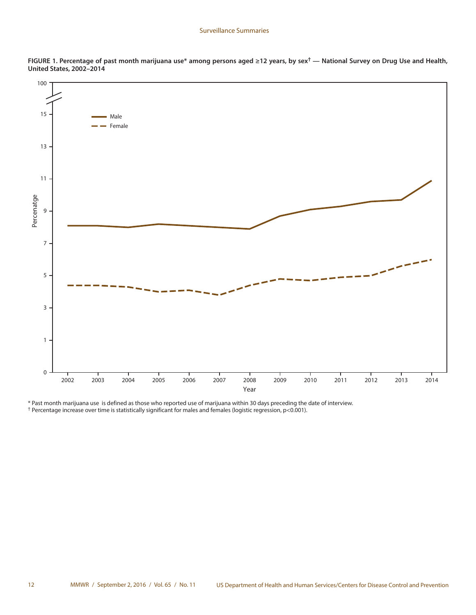

**FIGURE 1. Percentage of past month marijuana use\* among persons aged ≥12 years, by sex† — National Survey on Drug Use and Health, United States, 2002–2014**

\* Past month marijuana use is defined as those who reported use of marijuana within 30 days preceding the date of interview. † Percentage increase over time is statistically significant for males and females (logistic regression, p<0.001).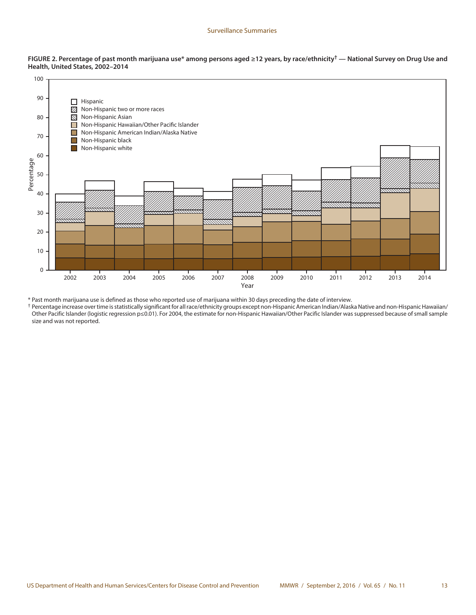



\* Past month marijuana use is defined as those who reported use of marijuana within 30 days preceding the date of interview.

† Percentage increase over time is statistically significant for all race/ethnicity groups except non-Hispanic American Indian/Alaska Native and non-Hispanic Hawaiian/ Other Pacific Islander (logistic regression p≤0.01). For 2004, the estimate for non-Hispanic Hawaiian/Other Pacific Islander was suppressed because of small sample size and was not reported.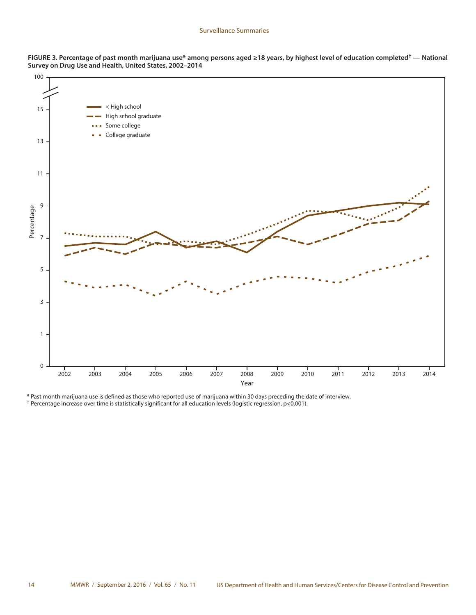



\* Past month marijuana use is defined as those who reported use of marijuana within 30 days preceding the date of interview. † Percentage increase over time is statistically significant for all education levels (logistic regression, p<0.001).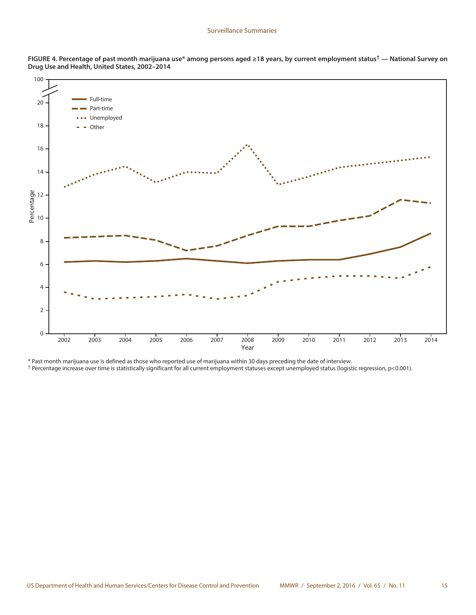

**FIGURE 4. Percentage of past month marijuana use\* among persons aged ≥18 years, by current employment status† — National Survey on Drug Use and Health, United States, 2002–2014**

\* Past month marijuana use is defined as those who reported use of marijuana within 30 days preceding the date of interview.

† Percentage increase over time is statistically significant for all current employment statuses except unemployed status (logistic regression, p<0.001).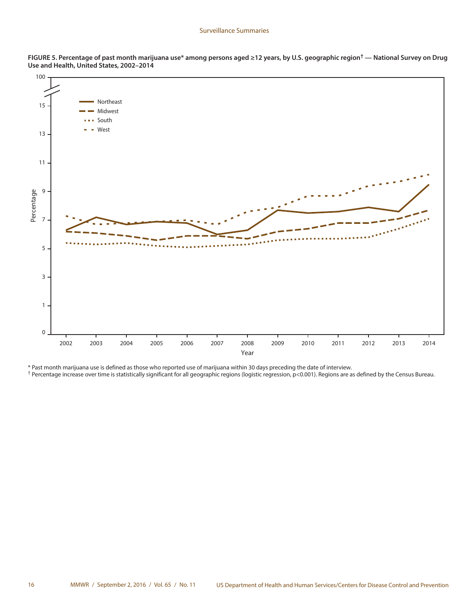

**FIGURE 5. Percentage of past month marijuana use\* among persons aged ≥12 years, by U.S. geographic region† — National Survey on Drug Use and Health, United States, 2002–2014**

\* Past month marijuana use is defined as those who reported use of marijuana within 30 days preceding the date of interview.

† Percentage increase over time is statistically significant for all geographic regions (logistic regression, p<0.001). Regions are as defined by the Census Bureau.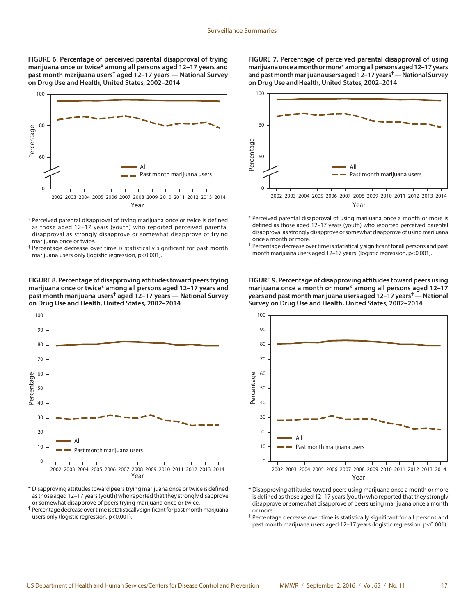**FIGURE 6. Percentage of perceived parental disapproval of trying marijuana once or twice\* among all persons aged 12–17 years and past month marijuana users† aged 12–17 years — National Survey on Drug Use and Health, United States, 2002–2014**



- \* Perceived parental disapproval of trying marijuana once or twice is defined as those aged 12–17 years (youth) who reported perceived parental disapproval as strongly disapprove or somewhat disapprove of trying marijuana once or twice.
- † Percentage decrease over time is statistically significant for past month marijuana users only (logistic regression, p<0.001).

**FIGURE 8. Percentage of disapproving attitudes toward peers trying marijuana once or twice\* among all persons aged 12–17 years and past month marijuana users† aged 12–17 years — National Survey on Drug Use and Health, United States, 2002–2014**



- \* Disapproving attitudes toward peers trying marijuana once or twice is defined as those aged 12–17 years (youth) who reported that they strongly disapprove or somewhat disapprove of peers trying marijuana once or twice.
- † Percentage decrease over time is statistically significant for past month marijuana users only (logistic regression, p<0.001).

**FIGURE 7. Percentage of perceived parental disapproval of using marijuana once a month or more\* among all persons aged 12–17 years and past month marijuana users aged 12–17 years† — National Survey on Drug Use and Health, United States, 2002–2014**



- \* Perceived parental disapproval of using marijuana once a month or more is defined as those aged 12–17 years (youth) who reported perceived parental disapproval as strongly disapprove or somewhat disapprove of using marijuana once a month or more.
- † Percentage decrease over time is statistically significant for all persons and past month marijuana users aged 12–17 years (logistic regression, p<0.001).

**FIGURE 9. Percentage of disapproving attitudes toward peers using marijuana once a month or more\* among all persons aged 12–17 years and past month marijuana users aged 12–17 years† — National Survey on Drug Use and Health, United States, 2002–2014**



- \* Disapproving attitudes toward peers using marijuana once a month or more is defined as those aged 12–17 years (youth) who reported that they strongly disapprove or somewhat disapprove of peers using marijuana once a month or more.
- † Percentage decrease over time is statistically significant for all persons and past month marijuana users aged 12–17 years (logistic regression, p<0.001).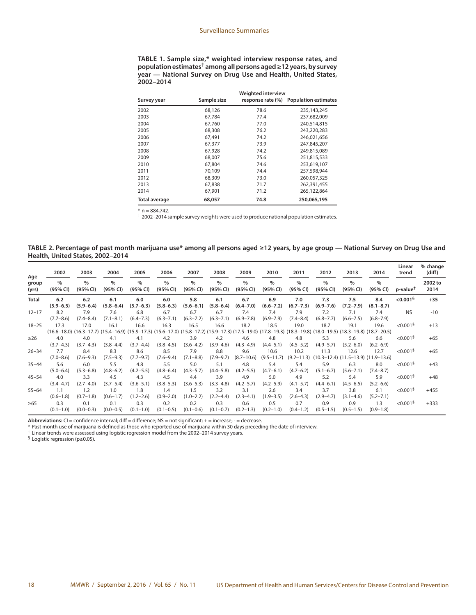**TABLE 1. Sample size,\* weighted interview response rates, and population estimates† among all persons aged ≥12 years, by survey year — National Survey on Drug Use and Health, United States, 2002–2014**

| Survey year          | Sample size | <b>Weighted interview</b><br>response rate (%) | <b>Population estimates</b> |
|----------------------|-------------|------------------------------------------------|-----------------------------|
| 2002                 | 68,126      | 78.6                                           | 235,143,245                 |
| 2003                 | 67.784      | 77.4                                           | 237,682,009                 |
| 2004                 | 67,760      | 77.0                                           | 240,514,815                 |
| 2005                 | 68,308      | 76.2                                           | 243,220,283                 |
| 2006                 | 67,491      | 74.2                                           | 246,021,656                 |
| 2007                 | 67,377      | 73.9                                           | 247,845,207                 |
| 2008                 | 67.928      | 74.2                                           | 249.815.089                 |
| 2009                 | 68,007      | 75.6                                           | 251,815,533                 |
| 2010                 | 67.804      | 74.6                                           | 253,619,107                 |
| 2011                 | 70.109      | 74.4                                           | 257.598.944                 |
| 2012                 | 68,309      | 73.0                                           | 260,057,325                 |
| 2013                 | 67.838      | 71.7                                           | 262,391,455                 |
| 2014                 | 67.901      | 71.2                                           | 265,122,864                 |
| <b>Total average</b> | 68,057      | 74.8                                           | 250,065,195                 |

 $* n = 884,742.$ 

† 2002–2014 sample survey weights were used to produce national population estimates.

**TABLE 2. Percentage of past month marijuana use\* among all persons aged ≥12 years, by age group — National Survey on Drug Use and Health, United States, 2002–2014**

| Age            | 2002                 | 2003                 | 2004                      | 2005                      | 2006                 | 2007                      | 2008                      | 2009                  | 2010                      | 2011                 | 2012                 | 2013                                                                                                                                                                            | 2014                 | Linear<br>trend         | % change<br>(diff) |
|----------------|----------------------|----------------------|---------------------------|---------------------------|----------------------|---------------------------|---------------------------|-----------------------|---------------------------|----------------------|----------------------|---------------------------------------------------------------------------------------------------------------------------------------------------------------------------------|----------------------|-------------------------|--------------------|
| group<br>(yrs) | $\%$<br>(95% CI)     | $\%$<br>(95% CI)     | $\frac{0}{0}$<br>(95% CI) | $\frac{0}{0}$<br>(95% CI) | $\%$<br>(95% CI)     | $\frac{0}{0}$<br>(95% CI) | $\frac{0}{0}$<br>(95% CI) | $\%$<br>(95% CI)      | $\frac{0}{0}$<br>(95% CI) | $\%$<br>(95% CI)     | $\%$<br>(95% CI)     | $\frac{0}{0}$<br>(95% CI)                                                                                                                                                       | $\%$<br>(95% CI)     | $p$ -value <sup>T</sup> | 2002 to<br>2014    |
| <b>Total</b>   | 6.2<br>$(5.9 - 6.5)$ | 6.2<br>$(5.9 - 6.4)$ | 6.1<br>$(5.8 - 6.4)$      | 6.0<br>$(5.7 - 6.3)$      | 6.0<br>$(5.8 - 6.3)$ | 5.8<br>$(5.6 - 6.1)$      | 6.1<br>$(5.8 - 6.4)$      | 6.7<br>$(6.4 - 7.0)$  | 6.9<br>$(6.6 - 7.2)$      | 7.0<br>$(6.7 - 7.3)$ | 7.3<br>$(6.9 - 7.6)$ | 7.5<br>$(7.2 - 7.9)$                                                                                                                                                            | 8.4<br>$(8.1 - 8.7)$ | $< 0.001$ <sup>§</sup>  | $+35$              |
| $12 - 17$      | 8.2<br>$(7.7 - 8.6)$ | 7.9<br>$(7.4 - 8.4)$ | 7.6<br>$(7.1 - 8.1)$      | 6.8<br>$(6.4 - 7.3)$      | 6.7<br>$(6.3 - 7.1)$ | 6.7<br>$(6.3 - 7.2)$      | 6.7<br>$(6.3 - 7.1)$      | 7.4<br>$(6.9 - 7.8)$  | 7.4<br>$(6.9 - 7.9)$      | 7.9<br>$(7.4 - 8.4)$ | 7.2<br>$(6.8 - 7.7)$ | 7.1<br>$(6.6 - 7.5)$                                                                                                                                                            | 7.4<br>$(6.8 - 7.9)$ | <b>NS</b>               | $-10$              |
| $18 - 25$      | 17.3                 | 17.0                 | 16.1                      | 16.6                      | 16.3                 | 16.5                      | 16.6                      | 18.2                  | 18.5                      | 19.0                 | 18.7                 | 19.1<br>(16.6–18.0) (16.3–17.7) (15.4–16.9) (15.9–17.3) (15.6–17.0) (15.8–17.2) (15.9–17.3) (17.5–19.0) (17.5–19.3) (17.8–19.3) (18.3–19.8) (18.0–19.5) (18.3–19.8) (18.7–20.5) | 19.6                 | < 0.001 <sup>9</sup>    | $+13$              |
| $\geq$ 26      | 4.0<br>$(3.7 - 4.3)$ | 4.0<br>$(3.7 - 4.3)$ | 4.1<br>$(3.8 - 4.4)$      | 4.1<br>$(3.7 - 4.4)$      | 4.2<br>$(3.8 - 4.5)$ | 3.9<br>$(3.6 - 4.2)$      | 4.2<br>$(3.9 - 4.6)$      | 4.6<br>$(4.3 - 4.9)$  | 4.8<br>$(4.4 - 5.1)$      | 4.8<br>$(4.5 - 5.2)$ | 5.3<br>$(4.9 - 5.7)$ | 5.6<br>$(5.2 - 6.0)$                                                                                                                                                            | 6.6<br>$(6.2 - 6.9)$ | < 0.001 <sup>9</sup>    | $+65$              |
| $26 - 34$      | 7.7<br>$(7.0 - 8.6)$ | 8.4<br>$(7.6 - 9.3)$ | 8.3<br>$(7.5 - 9.3)$      | 8.6<br>$(7.7 - 9.7)$      | 8.5<br>$(7.6 - 9.4)$ | 7.9<br>$(7.1 - 8.8)$      | 8.8<br>$(7.9 - 9.7)$      | 9.6<br>$(8.7 - 10.6)$ | 10.6<br>$(9.5 - 11.7)$    | 10.2                 | 11.3                 | 12.6<br>$(9.2-11.3)$ $(10.3-12.4)$ $(11.5-13.9)$ $(11.9-13.6)$                                                                                                                  | 12.7                 | $< 0.001$ <sup>§</sup>  | $+65$              |
| $35 - 44$      | 5.6<br>$(5.0 - 6.4)$ | 6.0<br>$(5.3 - 6.8)$ | 5.5<br>$(4.8 - 6.2)$      | 4.8<br>$(4.2 - 5.5)$      | 5.5<br>$(4.8 - 6.4)$ | 5.0<br>$(4.3 - 5.7)$      | 5.1<br>$(4.4 - 5.8)$      | 4.8<br>$(4.2 - 5.5)$  | 5.4<br>$(4.7 - 6.1)$      | 5.4<br>$(4.7 - 6.2)$ | 5.9<br>$(5.1 - 6.7)$ | 6.3<br>$(5.6 - 7.1)$                                                                                                                                                            | 8.0<br>$(7.4 - 8.7)$ | < 0.001 <sup>5</sup>    | $+43$              |
| $45 - 54$      | 4.0<br>$(3.4 - 4.7)$ | 3.3<br>$(2.7 - 4.0)$ | 4.5<br>$(3.7 - 5.4)$      | 4.3<br>$(3.6 - 5.1)$      | 4.5<br>$(3.8 - 5.3)$ | 4.4<br>$(3.6 - 5.3)$      | 3.9<br>$(3.3 - 4.8)$      | 4.9<br>$(4.2 - 5.7)$  | 5.0<br>$(4.2 - 5.9)$      | 4.9<br>$(4.1 - 5.7)$ | 5.2<br>$(4.4 - 6.1)$ | 5.4<br>$(4.5 - 6.5)$                                                                                                                                                            | 5.9<br>$(5.2 - 6.6)$ | $< 0.001$ <sup>§</sup>  | $+48$              |
| $55 - 64$      | 1.1<br>$(0.6 - 1.8)$ | 1.2<br>$(0.7 - 1.8)$ | 1.0<br>$(0.6 - 1.7)$      | 1.8<br>$(1.2 - 2.6)$      | 1.4<br>$(0.9 - 2.0)$ | 1.5<br>$(1.0 - 2.2)$      | 3.2<br>$(2.2 - 4.4)$      | 3.1<br>$(2.3 - 4.1)$  | 2.6<br>$(1.9 - 3.5)$      | 3.4<br>$(2.6 - 4.3)$ | 3.7<br>$(2.9 - 4.7)$ | 3.8<br>$(3.1 - 4.6)$                                                                                                                                                            | 6.1<br>$(5.2 - 7.1)$ | < 0.001 <sup>5</sup>    | $+455$             |
| $\geq 65$      | 0.3<br>$(0.1 - 1.0)$ | 0.1<br>$(0.0 - 0.3)$ | 0.1<br>$(0.0 - 0.5)$      | 0.3<br>$(0.1 - 1.0)$      | 0.2<br>$(0.1 - 0.5)$ | 0.2<br>$(0.1 - 0.6)$      | 0.3<br>$(0.1 - 0.7)$      | 0.6<br>$(0.2 - 1.3)$  | 0.5<br>$(0.2 - 1.0)$      | 0.7<br>$(0.4 - 1.2)$ | 0.9<br>$(0.5 - 1.5)$ | 0.9<br>$(0.5 - 1.5)$                                                                                                                                                            | 1.3<br>$(0.9 - 1.8)$ | < 0.001 <sup>5</sup>    | $+333$             |

**Abbreviations:** CI = confidence interval; diff = difference; NS = not significant; + = increase; - = decrease.

\* Past month use of marijuana is defined as those who reported use of marijuana within 30 days preceding the date of interview.

† Linear trends were assessed using logistic regression model from the 2002–2014 survey years.

§ Logistic regression (p≤0.05).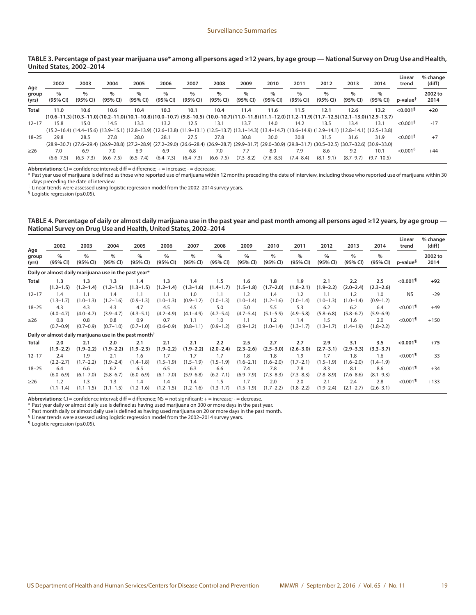#### **TABLE 3. Percentage of past year marijuana use\* among all persons aged ≥12 years, by age group — National Survey on Drug Use and Health, United States, 2002–2014**

| Age            | 2002             | 2003             | 2004             | 2005             | 2006             | 2007             | 2008             | 2009             | 2010             | 2011                      | 2012             | 2013             | 2014                                                                                                                                                                            | Linear<br>trend        | % change<br>(diff) |
|----------------|------------------|------------------|------------------|------------------|------------------|------------------|------------------|------------------|------------------|---------------------------|------------------|------------------|---------------------------------------------------------------------------------------------------------------------------------------------------------------------------------|------------------------|--------------------|
| group<br>(yrs) | $\%$<br>(95% CI) | $\%$<br>(95% CI) | $\%$<br>(95% CI) | $\%$<br>(95% CI) | $\%$<br>(95% CI) | $\%$<br>(95% CI) | $\%$<br>(95% CI) | $\%$<br>(95% CI) | $\%$<br>(95% CI) | $\frac{0}{0}$<br>(95% CI) | $\%$<br>(95% CI) | $\%$<br>(95% CI) | $\%$<br>(95% CI)                                                                                                                                                                | p-value <sup>t</sup>   | 2002 to<br>2014    |
| <b>Total</b>   | 11.0             | 10.6             | 10.6             | 10.4             | 10.3             | 10.1             | 10.4             | 11.4             | 11.6             | 11.5                      | 12.1             | 12.6             | 13.2<br>$(10.6-11.3)(10.3-11.0)(10.2-11.0)(10.1-10.8)(10.0-10.7)(9.8-10.5)(10.0-10.7)(11.0-11.8)(11.1-12.0)(11.2-11.9)(11.7-12.5)(12.1-13.0)(12.9-13.7)$                        | $< 0.001$ <sup>§</sup> | $+20$              |
| $12 - 17$      | 15.8             | 15.0             | 14.5             | 13.3             | 13.2             | 12.5             | 13.1             | 13.7             | 14.0             | 14.2                      | 13.5             | 13.4             | 13.1                                                                                                                                                                            | $< 0.001$ <sup>§</sup> | $-17$              |
| $18 - 25$      | 29.8             | 28.5             | 27.8             | 28.0             | 28.1             | 27.5             | 27.8             | 30.8             | 30.0             | 30.8                      | 31.5             | 31.6             | (12.5–13.8) (13.9–14.1) (12.8–14.1) (12.8–15.1) (12.8–13.9) (12.6–13.8) (11.9–13.1) (12.5–13.7) (13.1–14.3) (13.4–14.7) (13.6–14.9) (12.9–14.1) (12.8–14.1) (12.5–13.8)<br>31.9 | < 0.001 <sup>5</sup>   | $+7$               |
| >26            | 7.0              | 6.9              | 7.0              | 6.9              | 6.9              | 6.8              | 7.0              | 7.7              | 8.0              | 7.9                       | 8.6              | 9.2              | (28.9–30.7) (27.6–29.4) (26.9–28.8) (27.2–28.9) (27.2–29.0) (26.6–28.4) (26.9–28.7) (29.9–31.7) (29.0–30.9) (29.8–31.7) (30.5–32.5) (30.7–32.6) (30.9–33.0)<br>10.1             | < 0.001 <sup>5</sup>   | $+44$              |
|                | $(6.6 - 7.5)$    | $(6.5 - 7.3)$    | $(6.6 - 7.5)$    | $(6.5 - 7.4)$    | $(6.4 - 7.3)$    | $(6.4 - 7.3)$    | $(6.6 - 7.5)$    | $(7.3 - 8.2)$    | $(7.6 - 8.5)$    | $(7.4 - 8.4)$             | $(8.1 - 9.1)$    | $(8.7 - 9.7)$    | $(9.7 - 10.5)$                                                                                                                                                                  |                        |                    |

Abbreviations: CI = confidence interval; diff = difference; + = increase; - = decrease.

\* Past year use of marijuana is defined as those who reported use of marijuana within 12 months preceding the date of interview, including those who reported use of marijuana within 30 days preceding the date of interview.

† Linear trends were assessed using logistic regression model from the 2002–2014 survey years.

§ Logistic regression (p≤0.05).

#### **TABLE 4. Percentage of daily or almost daily marijuana use in the past year and past month among all persons aged ≥12 years, by age group — National Survey on Drug Use and Health, United States, 2002–2014**

| Age            | 2002                                                               | 2003                 | 2004                 | 2005                      | 2006                 | 2007                      | 2008                 | 2009                      | 2010                      | 2011                 | 2012                 | 2013                 | 2014                 | Linear<br>trend        | % change<br>(diff) |
|----------------|--------------------------------------------------------------------|----------------------|----------------------|---------------------------|----------------------|---------------------------|----------------------|---------------------------|---------------------------|----------------------|----------------------|----------------------|----------------------|------------------------|--------------------|
| group<br>(yrs) | $\%$<br>(95% CI)                                                   | $\%$<br>(95% CI)     | $\%$<br>(95% CI)     | $\frac{0}{0}$<br>(95% CI) | $\%$<br>(95% CI)     | $\frac{0}{0}$<br>(95% CI) | $\%$<br>(95% CI)     | $\frac{0}{0}$<br>(95% CI) | $\frac{0}{0}$<br>(95% CI) | $\%$<br>(95% CI)     | $\%$<br>(95% CI)     | $\%$<br>(95% CI)     | $\%$<br>(95% CI)     | p-value <sup>s</sup>   | 2002 to<br>2014    |
|                | Daily or almost daily marijuana use in the past year*              |                      |                      |                           |                      |                           |                      |                           |                           |                      |                      |                      |                      |                        |                    |
| <b>Total</b>   | 1.3<br>$(1.2 - 1.5)$                                               | 1.3<br>$(1.2 - 1.4)$ | 1.3<br>$(1.2 - 1.5)$ | 1.4<br>$(1.3 - 1.5)$      | 1.3<br>$(1.2 - 1.4)$ | 1.4<br>$(1.3 - 1.6)$      | 1.5<br>$(1.4 - 1.7)$ | 1.6<br>$(1.5 - 1.8)$      | 1.8<br>$(1.7 - 2.0)$      | 1.9<br>$(1.8 - 2.1)$ | 2.1<br>$(1.9 - 2.2)$ | 2.2<br>$(2.0 - 2.4)$ | 2.5<br>$(2.3 - 2.6)$ | $<$ 0.001 $^{\circ}$   | $+92$              |
| $12 - 17$      | 1.4<br>$(1.3 - 1.7)$                                               | 1.1<br>$(1.0 - 1.3)$ | 1.4<br>$(1.2 - 1.6)$ | 1.1<br>$(0.9 - 1.3)$      | 1.1<br>$(1.0 - 1.3)$ | 1.0<br>$(0.9 - 1.2)$      | 1.1<br>$(1.0 - 1.3)$ | 1.2<br>$(1.0 - 1.4)$      | 1.4<br>$(1.2 - 1.6)$      | 1.2<br>$(1.0 - 1.4)$ | 1.1<br>$(1.0 - 1.3)$ | 1.2<br>$(1.0 - 1.4)$ | 1.0<br>$(0.9 - 1.2)$ | <b>NS</b>              | $-29$              |
| $18 - 25$      | 4.3<br>$(4.0 - 4.7)$                                               | 4.3<br>$(4.0 - 4.7)$ | 4.3<br>$(3.9 - 4.7)$ | 4.7<br>$(4.3 - 5.1)$      | 4.5<br>$(4.2 - 4.9)$ | 4.5<br>$(4.1 - 4.9)$      | 5.0<br>$(4.7 - 5.4)$ | 5.0<br>$(4.7 - 5.4)$      | 5.5<br>$(5.1 - 5.9)$      | 5.3<br>$(4.9 - 5.8)$ | 6.2<br>$(5.8 - 6.8)$ | 6.2<br>$(5.8 - 6.7)$ | 6.4<br>$(5.9 - 6.9)$ | $< 0.001$ <sup>1</sup> | $+49$              |
| $\geq$ 26      | 0.8<br>$(0.7 - 0.9)$                                               | 0.8<br>$(0.7 - 0.9)$ | 0.8<br>$(0.7 - 1.0)$ | 0.9<br>$(0.7 - 1.0)$      | 0.7<br>$(0.6 - 0.9)$ | 1.1<br>$(0.8 - 1.1)$      | 1.0<br>$(0.9 - 1.2)$ | 1.1<br>$(0.9 - 1.2)$      | 1.2<br>$(1.0 - 1.4)$      | 1.4<br>$(1.3 - 1.7)$ | 1.5<br>$(1.3 - 1.7)$ | 1.6<br>$(1.4 - 1.9)$ | 2.0<br>$(1.8 - 2.2)$ | $< 0.001$ <sup>1</sup> | $+150$             |
|                | Daily or almost daily marijuana use in the past month <sup>†</sup> |                      |                      |                           |                      |                           |                      |                           |                           |                      |                      |                      |                      |                        |                    |
| Total          | 2.0<br>$(1.9 - 2.2)$                                               | 2.1<br>$(1.9 - 2.2)$ | 2.0<br>$(1.9 - 2.2)$ | 2.1<br>$(1.9 - 2.3)$      | 2.1<br>$(1.9 - 2.2)$ | 2.1<br>$(1.9 - 2.2)$      | 2.2<br>$(2.0 - 2.4)$ | 2.5<br>$(2.3 - 2.6)$      | 2.7<br>$(2.5 - 3.0)$      | 2.7<br>$(2.6 - 3.0)$ | 2.9<br>$(2.7 - 3.1)$ | 3.1<br>$(2.9 - 3.3)$ | 3.5<br>$(3.3 - 3.7)$ | $<$ 0.001¶             | $+75$              |
| $12 - 17$      | 2.4<br>$(2.2 - 2.7)$                                               | 1.9<br>$(1.7 - 2.2)$ | 2.1<br>$(1.9 - 2.4)$ | 1.6<br>$(1.4 - 1.8)$      | 1.7<br>$(1.5 - 1.9)$ | 1.7<br>$(1.5 - 1.9)$      | 1.7<br>$(1.5 - 1.9)$ | 1.8<br>$(1.6 - 2.1)$      | 1.8<br>$(1.6 - 2.0)$      | 1.9<br>$(1.7 - 2.1)$ | 1.7<br>$(1.5 - 1.9)$ | 1.8<br>$(1.6 - 2.0)$ | 1.6<br>$(1.4 - 1.9)$ | $< 0.001$ <sup>1</sup> | $-33$              |
| $18 - 25$      | 6.4<br>$(6.0 - 6.9)$                                               | 6.6<br>$(6.1 - 7.0)$ | 6.2<br>$(5.8 - 6.7)$ | 6.5<br>$(6.0 - 6.9)$      | 6.5<br>$(6.1 - 7.0)$ | 6.3<br>$(5.9 - 6.8)$      | 6.6<br>$(6.2 - 7.1)$ | 7.4<br>$(6.9 - 7.9)$      | 7.8<br>$(7.3 - 8.3)$      | 7.8<br>$(7.3 - 8.3)$ | 8.3<br>$(7.8 - 8.9)$ | 8.1<br>$(7.6 - 8.6)$ | 8.6<br>$(8.1 - 9.3)$ | $< 0.001$ <sup>1</sup> | $+34$              |
| $\geq$ 26      | 1.2<br>$(1.1 - 1.4)$                                               | 1.3<br>$(1.1 - 1.5)$ | 1.3<br>$(1.1 - 1.5)$ | 1.4<br>$(1.2 - 1.6)$      | 1.4<br>$(1.2 - 1.5)$ | 1.4<br>$(1.2 - 1.6)$      | 1.5<br>$(1.3 - 1.7)$ | 1.7<br>$(1.5 - 1.9)$      | 2.0<br>$(1.7 - 2.2)$      | 2.0<br>$(1.8 - 2.2)$ | 2.1<br>$(1.9 - 2.4)$ | 2.4<br>$(2.1 - 2.7)$ | 2.8<br>$(2.6 - 3.1)$ | $< 0.001$ <sup>1</sup> | $+133$             |

Abbreviations: CI = confidence interval; diff = difference; NS = not significant; + = increase; - = decrease.

\* Past year daily or almost daily use is defined as having used marijuana on 300 or more days in the past year.

† Past month daily or almost daily use is defined as having used marijuana on 20 or more days in the past month.

§ Linear trends were assessed using logistic regression model from the 2002–2014 survey years.

¶ Logistic regression (p≤0.05).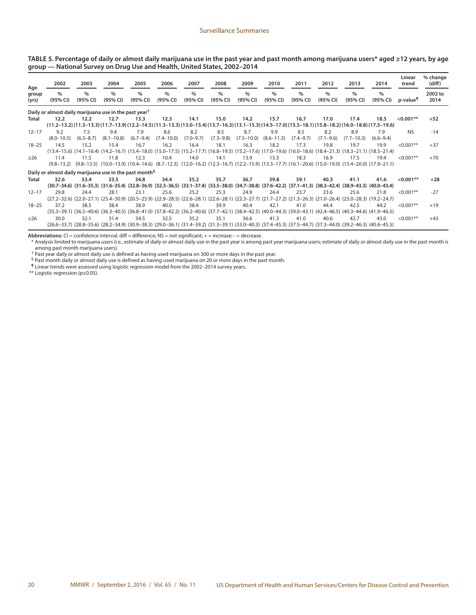| TABLE 5. Percentage of daily or almost daily marijuana use in the past year and past month among marijuana users* aged ≥12 years, by age |  |  |  |  |  |  |  |
|------------------------------------------------------------------------------------------------------------------------------------------|--|--|--|--|--|--|--|
| group — National Survey on Drug Use and Health, United States, 2002–2014                                                                 |  |  |  |  |  |  |  |

| Age            | 2002                                                               | 2003             | 2004                      | 2005                      | 2006                      | 2007                      | 2008                      | 2009                      | 2010                      | 2011                                                                                                                                                                                  | 2012                      | 2013             | 2014                      | Linear<br>trend      | % change<br>(diff) |
|----------------|--------------------------------------------------------------------|------------------|---------------------------|---------------------------|---------------------------|---------------------------|---------------------------|---------------------------|---------------------------|---------------------------------------------------------------------------------------------------------------------------------------------------------------------------------------|---------------------------|------------------|---------------------------|----------------------|--------------------|
| group<br>(yrs) | $\%$<br>(95% CI)                                                   | $\%$<br>(95% CI) | $\frac{0}{0}$<br>(95% CI) | $\frac{0}{0}$<br>(95% CI) | $\frac{0}{0}$<br>(95% CI) | $\frac{0}{0}$<br>(95% CI) | $\frac{0}{0}$<br>(95% CI) | $\frac{0}{0}$<br>(95% CI) | $\frac{0}{0}$<br>(95% CI) | $\frac{0}{0}$<br>(95% CI)                                                                                                                                                             | $\frac{0}{0}$<br>(95% CI) | $\%$<br>(95% CI) | $\frac{0}{0}$<br>(95% CI) | p-value <sup>¶</sup> | 2002 to<br>2014    |
|                | Daily or almost daily marijuana use in the past year <sup>†</sup>  |                  |                           |                           |                           |                           |                           |                           |                           |                                                                                                                                                                                       |                           |                  |                           |                      |                    |
| Total          | 12.2                                                               | 12.2             | 12.7                      | 13.3                      | 12.3                      | 14.1                      | 15.0                      | 14.2                      | 15.7                      | 16.7                                                                                                                                                                                  | 17.0                      | 17.4             | 18.5                      | $< 0.001**$          | $+52$              |
|                |                                                                    |                  |                           |                           |                           |                           |                           |                           |                           | (11.2-13.2) (11.3-13.3) (11.7-13.9) (12.2-14.5) (11.3-13.3) (13.0-15.4) (13.7-16.3) (13.1-15.3) (14.5-17.0) (15.5-18.1) (15.8-18.2) (16.0-18.8) (17.5-19.6)                           |                           |                  |                           |                      |                    |
| $12 - 17$      | 9.2                                                                | 7.5              | 9.4                       | 7.9                       | 8.6                       | 8.2                       | 8.5                       | 8.7                       | 9.9                       | 8.5                                                                                                                                                                                   | 8.2                       | 8.9              | 7.9                       | NS.                  | $-14$              |
|                | $(8.0 - 10.5)$                                                     | $(6.5 - 8.7)$    | $(8.1 - 10.8)$            | $(6.7 - 9.4)$             | $(7.4 - 10.0)$            | $(7.0 - 9.7)$             | $(7.3 - 9.8)$             | $(7.5 - 10.0)$            | $(8.6 - 11.3)$            | $(7.4 - 9.7)$                                                                                                                                                                         | $(7.1 - 9.6)$             | $(7.7 - 10.3)$   | $(6.6 - 9.4)$             |                      |                    |
| $18 - 25$      | 14.5                                                               | 15.2             | 15.4                      | 16.7                      | 16.2                      | 16.4                      | 18.1                      | 16.3                      | 18.2                      | 17.3                                                                                                                                                                                  | 19.8                      | 19.7             | 19.9                      | $< 0.001$ **         | $+37$              |
|                |                                                                    |                  |                           |                           |                           |                           |                           |                           |                           | $(13.4-15.6)$ $(14.1-16.4)$ $(14.2-16.7)$ $(15.4-18.0)$ $(15.0-17.5)$ $(15.2-17.7)$ $(16.8-19.5)$ $(15.2-17.6)$ $(17.0-19.6)$ $(16.0-18.6)$ $(18.4-21.3)$ $(18.3-21.1)$ $(18.5-21.4)$ |                           |                  |                           |                      |                    |
| $\geq$ 26      | 11.4                                                               | 11.5             | 11.8                      | 12.3                      | 10.4                      | 14.0                      | 14.1                      | 13.9                      | 15.3                      | 18.3                                                                                                                                                                                  | 16.9                      | 17.5             | 19.4                      | $< 0.001$ **         | $+70$              |
|                |                                                                    |                  |                           |                           |                           |                           |                           |                           |                           | $(9.8-13.2)$ $(9.8-13.5)$ $(10.0-13.9)$ $(10.4-14.6)$ $(8.7-12.3)$ $(12.0-16.2)$ $(12.3-16.7)$ $(12.2-15.9)$ $(13.3-17.7)$ $(16.1-20.6)$ $(15.0-19.0)$ $(15.4-20.0)$ $(17.9-21.1)$    |                           |                  |                           |                      |                    |
|                | Daily or almost daily marijuana use in the past month <sup>§</sup> |                  |                           |                           |                           |                           |                           |                           |                           |                                                                                                                                                                                       |                           |                  |                           |                      |                    |
| Total          | 32.6                                                               | 33.4             | 33.5                      | 34.8                      | 34.4                      | 35.2                      | 35.7                      | 36.7                      | 39.8                      | 39.1                                                                                                                                                                                  | 40.3                      | 41.1             | 41.6                      | $< 0.001**$          | $+28$              |
|                |                                                                    |                  |                           |                           |                           |                           |                           |                           |                           | (30.7-34.6) (31.6-35.3) (31.6-35.4) (32.8-36.9) (32.3-36.5) (33.1-37.4) (33.5-38.0) (34.7-38.8) (37.6-42.2) (37.1-41.3) (38.3-42.4) (38.9-43.3) (40.0-43.4)                           |                           |                  |                           |                      |                    |
| $12 - 17$      | 29.8                                                               | 24.4             | 28.1                      | 23.1                      | 25.6                      | 25.2                      | 25.3                      | 24.9                      | 24.4                      | 23.7                                                                                                                                                                                  | 23.6                      | 25.6             | 21.8                      | $< 0.001$ **         | $-27$              |
|                |                                                                    |                  |                           |                           |                           |                           |                           |                           |                           | $(27.2-32.6)$ $(22.0-27.1)$ $(25.4-30.9)$ $(20.5-25.9)$ $(22.9-28.5)$ $(22.6-28.1)$ $(22.6-28.1)$ $(22.3-27.7)$ $(21.7-27.2)$ $(21.3-26.3)$ $(21.0-26.4)$ $(23.0-28.3)$ $(19.2-24.7)$ |                           |                  |                           |                      |                    |
| $18 - 25$      | 37.2                                                               | 38.5             | 38.4                      | 38.9                      | 40.0                      | 38.4                      | 39.9                      | 40.4                      | 42.1                      | 41.0                                                                                                                                                                                  | 44.4                      | 42.5             | 44.2                      | $< 0.001$ **         | $+19$              |
|                |                                                                    |                  |                           |                           |                           |                           |                           |                           |                           | (35.3-39.1) (36.5-40.6) (36.3-40.5) (36.3-40.5) (36.8-41.0) (37.8-42.2) (36.2-40.6) (37.7-42.1) (38.4-42.5) (40.0-44.3) (39.0-43.1) (42.4-46.5) (40.3-44.6) (41.9-46.5)               |                           |                  |                           |                      |                    |
| $\geq$ 26      | 30.0                                                               | 32.1             | 31.4                      | 34.5                      | 32.5                      | 35.2                      | 35.1                      | 36.6                      | 41.3                      | 41.0                                                                                                                                                                                  | 40.6                      | 42.7             | 43.0                      | $< 0.001$ **         | $+43$              |
|                |                                                                    |                  |                           |                           |                           |                           |                           |                           |                           | (26.6–33.7) (28.8–35.6) (28.2–34.9) (30.9–38.3) (29.0–36.1) (31.4–39.2) (31.3–39.1) (33.0–40.3) (37.4–45.3) (37.5–44.7) (37.3–44.0) (39.2–46.3) (40.6–45.5)                           |                           |                  |                           |                      |                    |

Abbreviations: CI = confidence interval; diff = difference; NS = not significant; + = increase; - = decrease.

\* Analysis limited to marijuana users (i.e., estimate of daily or almost daily use in the past year is among past year marijuana users; estimate of daily or almost daily use in the past month is among past month marijuana users).

† Past year daily or almost daily use is defined as having used marijuana on 300 or more days in the past year.

§ Past month daily or almost daily use is defined as having used marijuana on 20 or more days in the past month.

¶ Linear trends were assessed using logistic regression model from the 2002–2014 survey years.

\*\* Logistic regression (p≤0.05).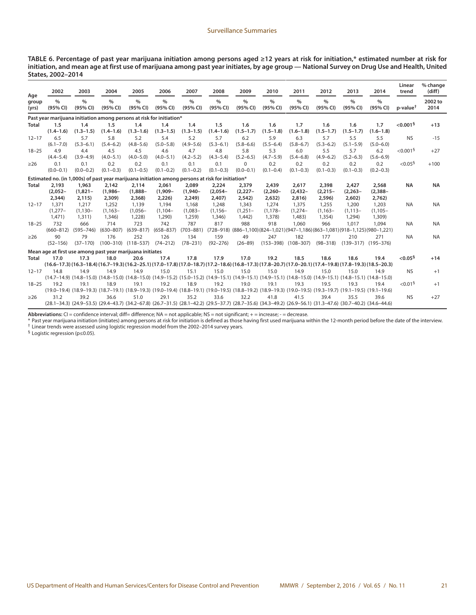**TABLE 6. Percentage of past year marijuana initiation among persons aged ≥12 years at risk for initiation,\* estimated number at risk for initiation, and mean age at first use of marijuana among past year initiates, by age group — National Survey on Drug Use and Health, United States, 2002–2014**

| Age            | 2002                          | 2003                                                                                              | 2004                           | 2005                           | 2006                           | 2007                          | 2008                           | 2009                          | 2010                                                                                                                                                                | 2011                           | 2012                           | 2013                           | 2014                           | Linear<br>trend                             | % change<br>(diff) |
|----------------|-------------------------------|---------------------------------------------------------------------------------------------------|--------------------------------|--------------------------------|--------------------------------|-------------------------------|--------------------------------|-------------------------------|---------------------------------------------------------------------------------------------------------------------------------------------------------------------|--------------------------------|--------------------------------|--------------------------------|--------------------------------|---------------------------------------------|--------------------|
| group<br>(yrs) | %<br>(95% CI)                 | $\frac{0}{0}$<br>(95% CI)                                                                         | $\%$<br>(95% CI)               | $\frac{0}{0}$<br>(95% CI)      | $\frac{0}{0}$<br>(95% CI)      | $\frac{0}{0}$<br>(95% CI)     | $\frac{0}{0}$<br>(95% CI)      | $\frac{0}{0}$<br>(95% CI)     | $\frac{0}{0}$<br>(95% CI)                                                                                                                                           | $\frac{0}{0}$<br>(95% CI)      | $\frac{0}{0}$<br>(95% CI)      | $\frac{0}{0}$<br>(95% CI)      | $\frac{0}{0}$<br>(95% CI)      | $p$ -value <sup><math>\uparrow</math></sup> | 2002 to<br>2014    |
|                |                               | Past year marijuana initiation among persons at risk for initiation*                              |                                |                                |                                |                               |                                |                               |                                                                                                                                                                     |                                |                                |                                |                                |                                             |                    |
| Total          | 1.5<br>$(1.4 - 1.6)$          | 1.4<br>$(1.3 - 1.5)$                                                                              | 1.5<br>$(1.4 - 1.6)$           | 1.4<br>$(1.3 - 1.6)$           | 1.4<br>$(1.3 - 1.5)$           | 1.4<br>$(1.3 - 1.5)$          | 1.5<br>$(1.4 - 1.6)$           | 1.6<br>$(1.5 - 1.7)$          | 1.6<br>$(1.5 - 1.8)$                                                                                                                                                | 1.7<br>$(1.6 - 1.8)$           | 1.6<br>$(1.5 - 1.7)$           | 1.6<br>$(1.5 - 1.7)$           | 1.7<br>$(1.6 - 1.8)$           | $< 0.001$ <sup>§</sup>                      | $+13$              |
| $12 - 17$      | 6.5<br>$(6.1 - 7.0)$          | 5.7<br>$(5.3 - 6.1)$                                                                              | 5.8<br>$(5.4 - 6.2)$           | 5.2<br>$(4.8 - 5.6)$           | 5.4<br>$(5.0 - 5.8)$           | 5.2<br>$(4.9 - 5.6)$          | 5.7<br>$(5.3 - 6.1)$           | 6.2<br>$(5.8 - 6.6)$          | 5.9<br>$(5.5 - 6.4)$                                                                                                                                                | 6.3<br>$(5.8 - 6.7)$           | 5.7<br>$(5.3 - 6.2)$           | 5.5<br>$(5.1 - 5.9)$           | 5.5<br>$(5.0 - 6.0)$           | <b>NS</b>                                   | $-15$              |
| $18 - 25$      | 4.9<br>$(4.4 - 5.4)$          | 4.4<br>$(3.9 - 4.9)$                                                                              | 4.5<br>$(4.0 - 5.1)$           | 4.5<br>$(4.0 - 5.0)$           | 4.6<br>$(4.0 - 5.1)$           | 4.7<br>$(4.2 - 5.2)$          | 4.8<br>$(4.3 - 5.4)$           | 5.8<br>$(5.2 - 6.5)$          | 5.3<br>$(4.7 - 5.9)$                                                                                                                                                | 6.0<br>$(5.4 - 6.8)$           | 5.5<br>$(4.9 - 6.2)$           | 5.7<br>$(5.2 - 6.3)$           | 6.2<br>$(5.6 - 6.9)$           | < 0.001 <sup>5</sup>                        | $+27$              |
| $\geq$ 26      | 0.1<br>$(0.0 - 0.1)$          | 0.1<br>$(0.0 - 0.2)$                                                                              | 0.2<br>$(0.1 - 0.3)$           | 0.2<br>$(0.1 - 0.5)$           | 0.1<br>$(0.1 - 0.2)$           | 0.1<br>$(0.1 - 0.2)$          | 0.1<br>$(0.1 - 0.3)$           | 0<br>$(0.0 - 0.1)$            | 0.2<br>$(0.1 - 0.4)$                                                                                                                                                | 0.2<br>$(0.1 - 0.3)$           | 0.2<br>$(0.1 - 0.3)$           | 0.2<br>$(0.1 - 0.3)$           | 0.2<br>$(0.2 - 0.3)$           | $< 0.05$ <sup>§</sup>                       | $+100$             |
|                |                               | Estimated no. (in 1,000s) of past year marijuana initiation among persons at risk for initiation* |                                |                                |                                |                               |                                |                               |                                                                                                                                                                     |                                |                                |                                |                                |                                             |                    |
| Total          | 2,193<br>$(2,052 -$<br>2,344) | 1,963<br>$(1,821 -$<br>2,115)                                                                     | 2,142<br>$(1,986 -$<br>2,309   | 2,114<br>$(1,888 -$<br>2,368)  | 2,061<br>$(1,909 -$<br>2,226   | 2,089<br>$(1.940 -$<br>2,249) | 2,224<br>$(2,054-$<br>2,407)   | 2,379<br>$(2,227 -$<br>2,542) | 2,439<br>$(2,260 -$<br>2,632)                                                                                                                                       | 2,617<br>$(2, 432 -$<br>2,816) | 2,398<br>$(2, 215 -$<br>2,596) | 2,427<br>$(2, 263 -$<br>2,602) | 2,568<br>$(2, 388 -$<br>2,762) | <b>NA</b>                                   | <b>NA</b>          |
| $12 - 17$      | 1,371<br>$(1,277-$<br>1,471)  | 1,217<br>$(1, 130 -$<br>1,311)                                                                    | 1,252<br>$(1, 163 -$<br>1,346) | 1,139<br>$(1,056 -$<br>1,228)  | 1,194<br>$(1, 104 -$<br>1,290) | 1.168<br>$(1,083 -$<br>1,259) | 1.248<br>$(1, 156 -$<br>1,346) | 1,343<br>$(1,251-$<br>1,442)  | 1.274<br>$(1, 178 -$<br>1,378)                                                                                                                                      | 1,375<br>$(1,274-$<br>1,483)   | 1,255<br>$(1, 163 -$<br>1,354) | 1,200<br>$(1, 113 -$<br>1,294) | 1,203<br>$(1, 105 -$<br>1,309) | <b>NA</b>                                   | <b>NA</b>          |
| $18 - 25$      | 732<br>$(660 - 812)$          | 666<br>$(595 - 746)$                                                                              | 714<br>$(630 - 807)$           | 723<br>$(639 - 817)$           | 742<br>$(658 - 837)$           | 787<br>$(703 - 881)$          | 817                            | 988                           | 918<br>$(728-918)$ $(886-1,100)$ $(824-1,021)$ $(947-1,186)$ $(863-1,081)$ $(918-1,125)$ $(980-1,221)$                                                              | 1,060                          | 966                            | 1.017                          | 1.094                          | <b>NA</b>                                   | <b>NA</b>          |
| $\geq$ 26      | 90<br>$(52 - 156)$            | 79<br>$(37 - 170)$                                                                                | 176                            | 252<br>$(100-310)$ $(118-537)$ | 126<br>$(74 - 212)$            | 134<br>$(78 - 231)$           | 159<br>$(92 - 276)$            | 49<br>$(26 - 89)$             | 247<br>$(153 - 398)$                                                                                                                                                | 182<br>$(108 - 307)$           | 177<br>$(98 - 318)$            | 210<br>$(139-317)$ $(195-376)$ | 271                            | <b>NA</b>                                   | <b>NA</b>          |
|                |                               | Mean age at first use among past year marijuana initiates                                         |                                |                                |                                |                               |                                |                               |                                                                                                                                                                     |                                |                                |                                |                                |                                             |                    |
| Total          | 17.0                          | 17.3                                                                                              | 18.0                           | 20.6                           | 17.4                           | 17.8                          | 17.9                           | 17.0                          | 19.2                                                                                                                                                                | 18.5                           | 18.6                           | 18.6                           | 19.4                           | $< 0.05$ <sup>§</sup>                       | $+14$              |
|                |                               |                                                                                                   |                                |                                |                                |                               |                                |                               | (16.3-18.4) (16.3-18.4) (16.7-19.3) (16.2-25.1) (17.0-17.8) (17.0-18.7) (17.2-18.6) (16.8-17.3) (17.8-20.7) (17.0-20.1) (17.4-19.8) (17.8-19.3) (18.5-20.3)         |                                |                                |                                |                                |                                             |                    |
| $12 - 17$      | 14.8                          | 14.9                                                                                              | 14.9                           | 14.9                           | 15.0                           | 15.1                          | 15.0                           | 15.0                          | 15.0<br>(14.8-15.0) (14.8-15.0) (14.8-15.0) (14.8-15.0) (14.9-15.2) (15.0-15.2) (14.9-15.1) (14.9-15.1) (14.9-15.1) (14.8-15.0) (14.9-15.1) (14.8-15.1) (14.8-15.0) | 14.9                           | 15.0                           | 15.0                           | 14.9                           | <b>NS</b>                                   | $+1$               |
| $18 - 25$      | 19.2                          | 19.1                                                                                              | 18.9                           | 19.1                           | 19.2                           | 18.9                          | 19.2                           | 19.0                          | 19.1<br>(19.1-19.5) (18.1-19.5) (18.7-19.1) (18.9-19.3) (19.0-19.4) (18.8-19.1) (19.0-19.5) (18.8-19.2) (18.9-19.3) (19.0-19.5) (19.3-19.7) (19.1-19.5) (19.1-19.5) | 19.3                           | 19.5                           | 19.3                           | 19.4                           | < 0.01 <sup>5</sup>                         | $+1$               |
| $\geq$ 26      | 31.2                          | 39.2                                                                                              | 36.6                           | 51.0                           | 29.1                           | 35.2                          | 33.6                           | 32.2                          | 41.8<br>(28.1-34.3) (24.9-53.5) (29.4-43.7) (34.2-67.8) (26.7-31.5) (28.1-42.2) (29.5-37.7) (28.7-35.6) (34.3-49.2) (26.9-56.1) (31.3-47.6) (30.7-40.2) (34.6-44.6) | 41.5                           | 39.4                           | 35.5                           | 39.6                           | <b>NS</b>                                   | $+27$              |

Abbreviations: CI = confidence interval; diff= difference; NA = not applicable; NS = not significant; + = increase; - = decrease.

\* Past year marijuana initiation (initiates) among persons at risk for initiation is defined as those having first used marijuana within the 12-month period before the date of the interview.<br><sup>†</sup> Linear trends were assessed

§ Logistic regression (p≤0.05).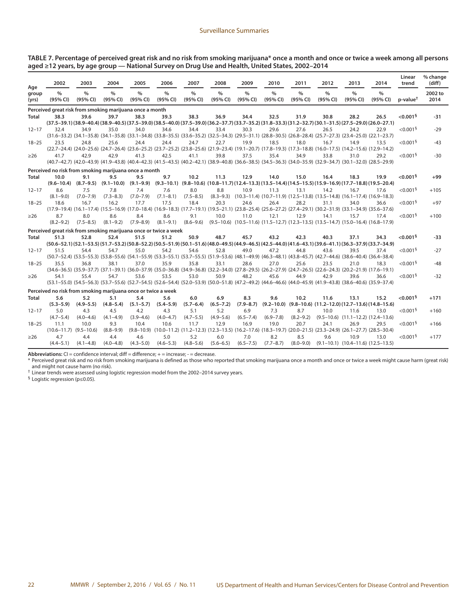| TABLE 7. Percentage of perceived great risk and no risk from smoking marijuana* once a month and once or twice a week among all persons |  |
|-----------------------------------------------------------------------------------------------------------------------------------------|--|
| aged ≥12 years, by age group — National Survey on Drug Use and Health, United States, 2002–2014                                         |  |

| Age            | 2002                                                             | 2003                                                                                                                                                                                                                                                                                                                                                         | 2004                 | 2005                      | 2006                 | 2007                      | 2008                      | 2009                      | 2010                      | 2011                                                                                                                                               | 2012                      | 2013                                             | 2014                                                                                                                                                      | Linear<br>trend        | % change<br>(diff) |
|----------------|------------------------------------------------------------------|--------------------------------------------------------------------------------------------------------------------------------------------------------------------------------------------------------------------------------------------------------------------------------------------------------------------------------------------------------------|----------------------|---------------------------|----------------------|---------------------------|---------------------------|---------------------------|---------------------------|----------------------------------------------------------------------------------------------------------------------------------------------------|---------------------------|--------------------------------------------------|-----------------------------------------------------------------------------------------------------------------------------------------------------------|------------------------|--------------------|
| group<br>(yrs) | $\%$<br>(95% CI)                                                 | $\%$<br>(95% CI)                                                                                                                                                                                                                                                                                                                                             | $\%$<br>(95% CI)     | $\frac{0}{0}$<br>(95% CI) | $\%$<br>(95% CI)     | $\frac{0}{0}$<br>(95% CI) | $\frac{0}{0}$<br>(95% CI) | $\frac{0}{0}$<br>(95% CI) | $\frac{0}{0}$<br>(95% CI) | $\frac{0}{0}$<br>(95% CI)                                                                                                                          | $\frac{0}{0}$<br>(95% CI) | $\frac{0}{0}$<br>(95% CI)                        | $\frac{0}{0}$<br>(95% CI)                                                                                                                                 | p-value <sup>t</sup>   | 2002 to<br>2014    |
|                | Perceived great risk from smoking marijuana once a month         |                                                                                                                                                                                                                                                                                                                                                              |                      |                           |                      |                           |                           |                           |                           |                                                                                                                                                    |                           |                                                  |                                                                                                                                                           |                        |                    |
| Total          | 38.3                                                             | 39.6                                                                                                                                                                                                                                                                                                                                                         | 39.7                 | 38.3                      | 39.3                 | 38.3                      | 36.9                      | 34.4                      | 32.5                      | 31.9                                                                                                                                               | 30.8                      | 28.2                                             | 26.5<br>$(37.5-39.1)(38.9-40.4)(38.9-40.5)(37.5-39.0)(38.5-40.0)(37.5-39.0)(36.2-37.7)(33.7-35.2)(31.8-33.3)(31.2-32.7)(30.1-31.5)(27.5-29.0)(26.0-27.1)$ | $< 0.001$ <sup>§</sup> | $-31$              |
| $12 - 17$      | 32.4                                                             | 34.9                                                                                                                                                                                                                                                                                                                                                         | 35.0                 | 34.0                      | 34.6                 | 34.4                      | 33.4                      | 30.3                      | 29.6                      | 27.6                                                                                                                                               | 26.5                      | 24.2                                             | 22.9                                                                                                                                                      | $< 0.001$ <sup>§</sup> | $-29$              |
| $18 - 25$      | 23.5                                                             | $(31.6-33.2)$ $(34.1-35.8)$ $(34.1-35.8)$ $(33.1-34.8)$ $(33.8-35.5)$ $(33.6-35.2)$ $(32.5-34.3)$ $(29.5-31.1)$ $(28.8-30.5)$ $(26.8-28.4)$ $(25.7-27.3)$ $(23.4-25.0)$ $(22.1-23.7)$<br>24.8<br>(22.7-24.4) (24.0-25.6) (24.7-26.4) (23.6-25.2) (23.7-25.2) (23.8-25.6) (21.9-23.4) (19.1-20.7) (17.8-19.3) (17.3-18.8) (16.0-17.5) (14.2-15.6) (12.9-14.2) | 25.6                 | 24.4                      | 24.4                 | 24.7                      | 22.7                      | 19.9                      | 18.5                      | 18.0                                                                                                                                               | 16.7                      | 14.9                                             | 13.5                                                                                                                                                      | $< 0.001$ <sup>§</sup> | $-43$              |
| $\geq$ 26      | 41.7                                                             | 42.9<br>(40.7-42.7) (42.0-43.9) (41.9-43.8) (40.4-42.3) (41.5-43.5) (40.2-42.1) (38.9-40.8) (36.6-38.5) (34.5-36.3) (34.0-35.9) (32.9-34.7) (30.1-32.0) (28.5-29.9)                                                                                                                                                                                          | 42.9                 | 41.3                      | 42.5                 | 41.1                      | 39.8                      | 37.5                      | 35.4                      | 34.9                                                                                                                                               | 33.8                      | 31.0                                             | 29.2                                                                                                                                                      | < 0.001 <sup>5</sup>   | $-30$              |
|                | Perceived no risk from smoking marijuana once a month            |                                                                                                                                                                                                                                                                                                                                                              |                      |                           |                      |                           |                           |                           |                           |                                                                                                                                                    |                           |                                                  |                                                                                                                                                           |                        |                    |
| Total          | 10.0                                                             | 9.1<br>$(9.6-10.4)$ $(8.7-9.5)$ $(9.1-10.0)$ $(9.1-9.9)$ $(9.3-10.1)$ $(9.8-10.6)$ $(10.8-11.7)$ $(12.4-13.3)$ $(13.5-14.4)$ $(14.5-15.5)$ $(15.9-16.9)$ $(17.7-18.8)$ $(19.5-20.4)$                                                                                                                                                                         | 9.5                  | 9.5                       | 9.7                  | 10.2                      | 11.3                      | 12.9                      | 14.0                      | 15.0                                                                                                                                               | 16.4                      | 18.3                                             | 19.9                                                                                                                                                      | $< 0.001$ <sup>§</sup> | $+99$              |
| $12 - 17$      | 8.6<br>$(8.1 - 9.0)$                                             | 7.5<br>$(7.0 - 7.9)$                                                                                                                                                                                                                                                                                                                                         | 7.8<br>$(7.3 - 8.3)$ | 7.4<br>$(7.0 - 7.9)$      | 7.6<br>$(7.1 - 8.1)$ | 8.0<br>$(7.5 - 8.5)$      | 8.8                       | 10.9                      | 11.3                      | 13.1<br>$(8.3-9.3)$ $(10.3-11.4)$ $(10.7-11.9)$ $(12.5-13.8)$ $(13.5-14.8)$ $(16.1-17.4)$ $(16.9-18.3)$                                            | 14.2                      | 16.7                                             | 17.6                                                                                                                                                      | $< 0.001$ <sup>§</sup> | $+105$             |
| $18 - 25$      | 18.6                                                             | 16.7<br>(15.6-37.6) (16.1-17.4) (15.5-16.9) (17.0-18.4) (16.9-18.3) (17.7-19.1) (19.5-21.1) (23.8-25.4) (25.6-27.2) (27.4-29.1) (30.2-31.9) (33.1-34.9) (35.6-37.6)                                                                                                                                                                                          | 16.2                 | 17.7                      | 17.5                 | 18.4                      | 20.3                      | 24.6                      | 26.4                      | 28.2                                                                                                                                               | 31.1                      | 34.0                                             | 36.6                                                                                                                                                      | < 0.001 <sup>5</sup>   | $+97$              |
| $\geq$ 26      | 8.7<br>$(8.2 - 9.2)$                                             | 8.0<br>$(7.5 - 8.5)$                                                                                                                                                                                                                                                                                                                                         | 8.6<br>$(8.1 - 9.2)$ | 8.4<br>$(7.9 - 8.9)$      | 8.6<br>$(8.1 - 9.1)$ | 9.1<br>$(8.6 - 9.6)$      | 10.0                      | 11.0                      | 12.1                      | 12.9<br>$(9.5-10.6)$ $(10.5-11.6)$ $(11.5-12.7)$ $(12.3-13.5)$ $(13.5-14.7)$ $(15.0-16.4)$ $(16.8-17.9)$                                           | 14.1                      | 15.7                                             | 17.4                                                                                                                                                      | $< 0.001$ <sup>§</sup> | $+100$             |
|                | Perceived great risk from smoking marijuana once or twice a week |                                                                                                                                                                                                                                                                                                                                                              |                      |                           |                      |                           |                           |                           |                           |                                                                                                                                                    |                           |                                                  |                                                                                                                                                           |                        |                    |
| Total          | 51.3                                                             | 52.8<br>(50.6-52.1) (52.1-53.5) (51.7-53.2) (50.8-52.2) (50.5-51.9) (50.1-51.6) (48.0-49.5) (44.9-46.5) (42.5-44.0) (41.6-43.1) (39.6-41.1) (36.3-37.9) (33.7-34.9)                                                                                                                                                                                          | 52.4                 | 51.5                      | 51.2                 | 50.9                      | 48.7                      | 45.7                      | 43.2                      | 42.3                                                                                                                                               | 40.3                      | 37.1                                             | 34.3                                                                                                                                                      | $< 0.001$ §            | $-33$              |
| $12 - 17$      | 51.5                                                             | 54.4<br>(50.7-52.4) (53.5-55.3) (53.8-55.6) (54.1-55.9) (53.3-55.1) (53.7-55.5) (51.9-53.6) (48.1-49.9) (46.3-48.1) (43.8-45.7) (42.7-44.6) (38.6-40.4) (36.4-38.4)                                                                                                                                                                                          | 54.7                 | 55.0                      | 54.2                 | 54.6                      | 52.8                      | 49.0                      | 47.2                      | 44.8                                                                                                                                               | 43.6                      | 39.5                                             | 37.4                                                                                                                                                      | $< 0.001$ §            | $-27$              |
| $18 - 25$      | 35.5                                                             | 36.8<br>$(34.6-36.5)$ $(35.9-37.7)$ $(37.1-39.1)$ $(36.0-37.9)$ $(35.0-36.8)$ $(34.9-36.8)$ $(32.2-34.0)$ $(27.8-29.5)$ $(26.2-27.9)$ $(24.7-26.5)$ $(22.6-24.3)$ $(20.2-21.9)$ $(17.6-19.1)$                                                                                                                                                                | 38.1                 | 37.0                      | 35.9                 | 35.8                      | 33.1                      | 28.6                      | 27.0                      | 25.6                                                                                                                                               | 23.5                      | 21.0                                             | 18.3                                                                                                                                                      | $< 0.001$ <sup>§</sup> | $-48$              |
| $\geq$ 26      | 54.1                                                             | 55.4<br>(53.1-55.0) (54.5-56.3) (53.7-55.6) (52.7-54.5) (52.6-54.4) (52.0-53.9) (50.0-51.8) (47.2-49.2) (44.6-46.6) (44.0-45.9) (41.9-43.8) (38.6-40.6) (35.9-37.4)                                                                                                                                                                                          | 54.7                 | 53.6                      | 53.5                 | 53.0                      | 50.9                      | 48.2                      | 45.6                      | 44.9                                                                                                                                               | 42.9                      | 39.6                                             | 36.6                                                                                                                                                      | < 0.001 <sup>5</sup>   | $-32$              |
|                | Perceived no risk from smoking marijuana once or twice a week    |                                                                                                                                                                                                                                                                                                                                                              |                      |                           |                      |                           |                           |                           |                           |                                                                                                                                                    |                           |                                                  |                                                                                                                                                           |                        |                    |
| Total          | 5.6<br>$(5.3 - 5.9)$                                             | 5.2<br>$(4.9 - 5.5)$                                                                                                                                                                                                                                                                                                                                         | 5.1<br>$(4.8 - 5.4)$ | 5.4<br>$(5.1 - 5.7)$      | 5.6<br>$(5.4 - 5.9)$ | 6.0<br>$(5.7 - 6.4)$      | 6.9<br>$(6.5 - 7.2)$      | 8.3<br>$(7.9 - 8.7)$      | 9.6                       | 10.2                                                                                                                                               | 11.6                      | 13.1                                             | 15.2<br>$(9.2-10.0)$ $(9.8-10.6)$ $(11.2-12.0)$ $(12.7-13.6)$ $(14.8-15.6)$                                                                               | $< 0.001$ <sup>§</sup> | $+171$             |
| $12 - 17$      | 5.0<br>$(4.7 - 5.4)$                                             | 4.3<br>$(4.0 - 4.6)$                                                                                                                                                                                                                                                                                                                                         | 4.5<br>$(4.1 - 4.9)$ | 4.2<br>$(3.9 - 4.6)$      | 4.3<br>$(4.0 - 4.7)$ | 5.1<br>$(4.7 - 5.5)$      | 5.2<br>$(4.9 - 5.6)$      | 6.9<br>$(6.5 - 7.4)$      | 7.3<br>$(6.9 - 7.8)$      | 8.7<br>$(8.2 - 9.2)$                                                                                                                               | 10.0                      | 11.6<br>$(9.5-10.6)$ $(11.1-12.2)$ $(12.4-13.6)$ | 13.0                                                                                                                                                      | $< 0.001$ <sup>§</sup> | $+160$             |
| $18 - 25$      | 11.1                                                             | 10.0<br>$(10.6 - 11.7)$ $(9.5 - 10.6)$                                                                                                                                                                                                                                                                                                                       | 9.3<br>$(8.8 - 9.9)$ | 10.4                      | 10.6                 | 11.7                      | 12.9                      | 16.9                      | 19.0                      | 20.7<br>$(9.8-10.9)$ $(10.0-11.2)$ $(11.2-12.3)$ $(12.3-13.5)$ $(16.2-17.6)$ $(18.3-19.7)$ $(20.0-21.5)$ $(23.3-24.9)$ $(26.1-27.7)$ $(28.5-30.4)$ | 24.1                      | 26.9                                             | 29.5                                                                                                                                                      | < 0.001 <sup>5</sup>   | $+166$             |
| $\geq$ 26      | 4.7<br>$(4.4 - 5.1)$                                             | 4.4<br>$(4.1 - 4.8)$                                                                                                                                                                                                                                                                                                                                         | 4.4<br>$(4.0 - 4.8)$ | 4.6<br>$(4.3 - 5.0)$      | 5.0<br>$(4.6 - 5.3)$ | 5.2<br>$(4.8 - 5.6)$      | 6.0<br>$(5.6 - 6.5)$      | 7.0<br>$(6.5 - 7.5)$      | 8.2<br>$(7.7 - 8.7)$      | 8.5<br>$(8.0 - 9.0)$                                                                                                                               | 9.6                       | 10.9<br>$(9.1-10.1)$ $(10.4-11.6)$ $(12.5-13.5)$ | 13.0                                                                                                                                                      | $< 0.001$ <sup>§</sup> | $+177$             |

Abbreviations: CI = confidence interval; diff = difference; + = increase; - = decrease.

\* Perceived great risk and no risk from smoking marijuana is defined as those who reported that smoking marijuana once a month and once or twice a week might cause harm (great risk) and might not cause harm (no risk).<br><sup>†</sup> Linear trends were assessed using logistic regression model from the 2002–2014 survey years.

§ Logistic regression (p≤0.05).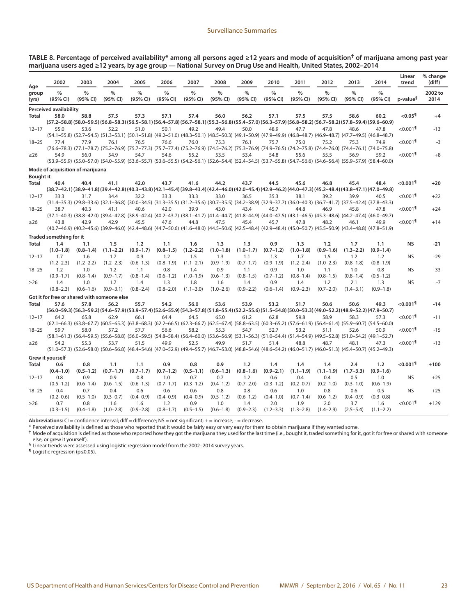**TABLE 8. Percentage of perceived availability\* among all persons aged ≥12 years and mode of acquisition† of marijuana among past year marijuana users aged ≥12 years, by age group — National Survey on Drug Use and Health, United States, 2002–2014**

| Age<br>$\frac{9}{6}$<br>$\frac{0}{0}$<br>$\frac{0}{0}$<br>$\frac{0}{0}$<br>$\frac{0}{0}$<br>$\frac{0}{0}$<br>$\%$<br>$\frac{0}{0}$<br>$\frac{0}{0}$<br>$\frac{0}{0}$<br>$\frac{0}{0}$<br>$\frac{0}{0}$<br>$\frac{0}{0}$<br>group<br>p-value <sup>§</sup><br>(95% CI)<br>(95% CI)<br>(95% CI)<br>(95% CI)<br>(95% CI)<br>(95% CI)<br>(95% CI)<br>(95% CI)<br>(95% CI)<br>(95% CI)<br>(95% CI)<br>(95% CI)<br>(95% CI)<br>(yrs)<br><b>Perceived availability</b><br>$< 0.05$ <sup>1</sup><br>58.0<br>58.8<br>57.5<br>57.3<br>57.1<br>57.4<br>56.0<br>57.5<br>57.5<br>60.2<br>Total<br>56.2<br>57.1<br>58.6<br>(50.6–50.9) (58.0–59.5) (58.0–59.5) (56.8–58.3) (56.5–58.1) (56.4–57.8) (56.7–58.1) (55.3–56.8) (55.4–57.0) (56.3–57.9) (56.8–58.2) (56.7–58.2) (57.8–59.4) (59.6–60.9)<br>$<$ 0.001 $\textsuperscript{n}$<br>55.0<br>52.2<br>49.2<br>50.0<br>47.8<br>48.6<br>53.6<br>51.0<br>50.1<br>49.4<br>48.9<br>47.7<br>47.8<br>$12 - 17$<br>(54.1-55.8) (52.7-54.5) (51.3-53.1) (50.1-51.8) (49.2-51.0) (48.3-50.1) (48.5-50.3) (49.1-50.9) (47.9-49.9) (46.8-48.7) (46.9-48.7) (47.7-49.5) (46.8-48.7)<br>77.9<br>76.1<br>75.2<br>$< 0.001$ <sup>1</sup><br>77.4<br>76.5<br>76.6<br>76.0<br>75.3<br>76.1<br>75.7<br>75.0<br>75.3<br>74.9<br>$18 - 25$ | 2002 to<br>2014<br>$+4$<br>$-13$<br>$-3$<br>$+8$<br>$+20$<br>$+22$<br>$+24$<br>$+14$ |
|-----------------------------------------------------------------------------------------------------------------------------------------------------------------------------------------------------------------------------------------------------------------------------------------------------------------------------------------------------------------------------------------------------------------------------------------------------------------------------------------------------------------------------------------------------------------------------------------------------------------------------------------------------------------------------------------------------------------------------------------------------------------------------------------------------------------------------------------------------------------------------------------------------------------------------------------------------------------------------------------------------------------------------------------------------------------------------------------------------------------------------------------------------------------------------------------------------------------------------------------------------------|--------------------------------------------------------------------------------------|
|                                                                                                                                                                                                                                                                                                                                                                                                                                                                                                                                                                                                                                                                                                                                                                                                                                                                                                                                                                                                                                                                                                                                                                                                                                                           |                                                                                      |
|                                                                                                                                                                                                                                                                                                                                                                                                                                                                                                                                                                                                                                                                                                                                                                                                                                                                                                                                                                                                                                                                                                                                                                                                                                                           |                                                                                      |
|                                                                                                                                                                                                                                                                                                                                                                                                                                                                                                                                                                                                                                                                                                                                                                                                                                                                                                                                                                                                                                                                                                                                                                                                                                                           |                                                                                      |
|                                                                                                                                                                                                                                                                                                                                                                                                                                                                                                                                                                                                                                                                                                                                                                                                                                                                                                                                                                                                                                                                                                                                                                                                                                                           |                                                                                      |
|                                                                                                                                                                                                                                                                                                                                                                                                                                                                                                                                                                                                                                                                                                                                                                                                                                                                                                                                                                                                                                                                                                                                                                                                                                                           |                                                                                      |
|                                                                                                                                                                                                                                                                                                                                                                                                                                                                                                                                                                                                                                                                                                                                                                                                                                                                                                                                                                                                                                                                                                                                                                                                                                                           |                                                                                      |
| (76.6-78.3) (77.1-78.7) (75.2-76.9) (75.7-77.3) (75.7-77.4) (75.2-76.9) (74.5-76.2) (75.3-76.9) (74.9-76.5) (74.2-75.8) (74.4-76.0) (74.4-76.1) (74.0-75.8)                                                                                                                                                                                                                                                                                                                                                                                                                                                                                                                                                                                                                                                                                                                                                                                                                                                                                                                                                                                                                                                                                               |                                                                                      |
| $< 0.001$ <sup>¶</sup><br>54.9<br>56.0<br>54.9<br>54.7<br>54.6<br>55.2<br>53.5<br>53.4<br>54.8<br>55.6<br>55.5<br>56.9<br>59.2<br>$\geq$ 26                                                                                                                                                                                                                                                                                                                                                                                                                                                                                                                                                                                                                                                                                                                                                                                                                                                                                                                                                                                                                                                                                                               |                                                                                      |
| (53.9–55.9) (55.9–57.0) (54.0–55.9) (53.6–55.7) (53.6–55.5) (54.2–56.1) (52.6–54.4) (52.4–54.5) (53.7–55.8) (54.7–56.6) (54.6–56.4) (55.9–57.9) (58.4–60.0)                                                                                                                                                                                                                                                                                                                                                                                                                                                                                                                                                                                                                                                                                                                                                                                                                                                                                                                                                                                                                                                                                               |                                                                                      |
| Mode of acquisition of marijuana                                                                                                                                                                                                                                                                                                                                                                                                                                                                                                                                                                                                                                                                                                                                                                                                                                                                                                                                                                                                                                                                                                                                                                                                                          |                                                                                      |
| <b>Bought it</b>                                                                                                                                                                                                                                                                                                                                                                                                                                                                                                                                                                                                                                                                                                                                                                                                                                                                                                                                                                                                                                                                                                                                                                                                                                          |                                                                                      |
| $<$ 0.001 $^{\circ}$<br>40.4<br>42.0<br>43.7<br>41.6<br>44.2<br>43.7<br>44.5<br>45.6<br>46.8<br>45.4<br>48.4<br>Total<br>40.4<br>41.1                                                                                                                                                                                                                                                                                                                                                                                                                                                                                                                                                                                                                                                                                                                                                                                                                                                                                                                                                                                                                                                                                                                     |                                                                                      |
| (38.9–47.1) (38.9–41.8) (39.4–42.8) (40.3–43.8) (42.1–45.4) (39.8–43.4) (42.4–46.0) (42.0–45.4) (42.9–46.2) (44.0–47.3) (45.2–48.4) (43.8–47.1) (47.0–49.8)                                                                                                                                                                                                                                                                                                                                                                                                                                                                                                                                                                                                                                                                                                                                                                                                                                                                                                                                                                                                                                                                                               |                                                                                      |
| $< 0.001$ <sup>1</sup><br>33.3<br>31.7<br>34.4<br>32.2<br>33.3<br>33.3<br>33.0<br>36.5<br>35.3<br>38.1<br>39.2<br>39.9<br>40.5<br>$12 - 17$<br>$(31.4-35.3)$ $(29.8-33.6)$ $(32.1-36.8)$ $(30.0-34.5)$ $(31.3-35.5)$ $(31.2-35.6)$ $(30.7-35.5)$ $(34.2-38.9)$ $(32.9-37.7)$ $(36.0-40.3)$ $(36.7-41.7)$ $(37.5-42.4)$ $(37.8-43.3)$                                                                                                                                                                                                                                                                                                                                                                                                                                                                                                                                                                                                                                                                                                                                                                                                                                                                                                                      |                                                                                      |
| $< 0.001$ <sup>1</sup><br>38.7<br>40.3<br>41.1<br>40.6<br>42.0<br>39.9<br>43.0<br>43.4<br>45.7<br>44.8<br>46.9<br>45.8<br>47.8<br>$18 - 25$                                                                                                                                                                                                                                                                                                                                                                                                                                                                                                                                                                                                                                                                                                                                                                                                                                                                                                                                                                                                                                                                                                               |                                                                                      |
| (37.1-40.3) (38.8-42.0) (39.4-42.8) (38.9-42.4) (40.2-43.7) (38.1-41.7) (41.4-44.7) (41.8-44.9) (44.0-47.5) (43.1-46.5) (45.3-48.6) (44.2-47.4) (46.0-49.7)                                                                                                                                                                                                                                                                                                                                                                                                                                                                                                                                                                                                                                                                                                                                                                                                                                                                                                                                                                                                                                                                                               |                                                                                      |
| $<$ 0.001 $\textsuperscript{fl}$<br>43.8<br>42.9<br>42.9<br>45.5<br>47.6<br>44.8<br>47.5<br>45.4<br>47.8<br>48.2<br>49.9<br>45.7<br>46.1<br>$\geq$ 26                                                                                                                                                                                                                                                                                                                                                                                                                                                                                                                                                                                                                                                                                                                                                                                                                                                                                                                                                                                                                                                                                                     |                                                                                      |
| (40.7-46.9) (40.2-45.6) (39.9-46.0) (42.4-48.6) (44.7-50.6) (41.6-48.0) (44.5-50.6) (42.5-48.4) (42.9-48.4) (45.0-50.7) (45.5-50.9) (43.4-48.8) (47.8-51.9)                                                                                                                                                                                                                                                                                                                                                                                                                                                                                                                                                                                                                                                                                                                                                                                                                                                                                                                                                                                                                                                                                               |                                                                                      |
| Traded something for it                                                                                                                                                                                                                                                                                                                                                                                                                                                                                                                                                                                                                                                                                                                                                                                                                                                                                                                                                                                                                                                                                                                                                                                                                                   |                                                                                      |
| 1.3<br>1.3<br>1.2<br><b>NS</b><br>Total<br>1.4<br>1.5<br>1.2<br>1.1<br>1.6<br>1.3<br>0.9<br>1.7<br>1.1<br>1.1                                                                                                                                                                                                                                                                                                                                                                                                                                                                                                                                                                                                                                                                                                                                                                                                                                                                                                                                                                                                                                                                                                                                             | $-21$                                                                                |
| $(1.0 - 1.8)$<br>$(1.1 - 2.2)$<br>$(0.9 - 1.7)$<br>$(0.8 - 1.5)$<br>$(1.2 - 2.2)$<br>$(1.0 - 1.8)$<br>$(1.0 - 1.7)$<br>$(0.7 - 1.2)$<br>$(1.0 - 1.8)$<br>$(0.9 - 1.6)$<br>$(1.3 - 2.2)$<br>$(0.9 - 1.4)$<br>$(0.8 - 1.4)$                                                                                                                                                                                                                                                                                                                                                                                                                                                                                                                                                                                                                                                                                                                                                                                                                                                                                                                                                                                                                                 |                                                                                      |
| 1.7<br>0.9<br>1.2<br>1.5<br>1.2<br>1.2<br><b>NS</b><br>1.7<br>1.6<br>1.5<br>1.3<br>1.1<br>1.3<br>1.7<br>$12 - 17$                                                                                                                                                                                                                                                                                                                                                                                                                                                                                                                                                                                                                                                                                                                                                                                                                                                                                                                                                                                                                                                                                                                                         | $-29$                                                                                |
| $(0.8 - 1.9)$<br>$(0.9 - 1.9)$<br>$(0.9 - 1.9)$<br>$(1.0 - 2.3)$<br>$(0.8 - 1.8)$<br>$(1.2 - 2.3)$<br>$(1.2 - 2.2)$<br>$(1.2 - 2.3)$<br>$(0.6 - 1.3)$<br>$(1.1 - 2.1)$<br>$(0.7 - 1.7)$<br>$(1.2 - 2.4)$<br>$(0.8 - 1.9)$                                                                                                                                                                                                                                                                                                                                                                                                                                                                                                                                                                                                                                                                                                                                                                                                                                                                                                                                                                                                                                 |                                                                                      |
| 1.0<br>1.2<br>0.8<br>1.4<br>0.9<br>1.1<br>0.9<br>1.0<br>1.1<br>1.0<br>0.8<br><b>NS</b><br>1.2<br>1.1<br>$18 - 25$<br>$(0.9 - 1.7)$<br>$(0.8 - 1.4)$<br>$(0.9 - 1.7)$<br>$(0.8 - 1.4)$<br>$(0.6 - 1.2)$<br>$(1.0 - 1.9)$<br>$(0.6 - 1.3)$<br>$(0.8 - 1.5)$<br>$(0.7 - 1.2)$<br>$(0.8 - 1.4)$<br>$(0.8 - 1.5)$<br>$(0.8 - 1.4)$<br>$(0.5 - 1.2)$                                                                                                                                                                                                                                                                                                                                                                                                                                                                                                                                                                                                                                                                                                                                                                                                                                                                                                            | $-33$                                                                                |
| <b>NS</b><br>1.4<br>1.0<br>1.7<br>1.4<br>1.3<br>1.8<br>1.6<br>1.4<br>0.9<br>1.4<br>1.2<br>2.1<br>1.3<br>$\geq$ 26                                                                                                                                                                                                                                                                                                                                                                                                                                                                                                                                                                                                                                                                                                                                                                                                                                                                                                                                                                                                                                                                                                                                         | $-7$                                                                                 |
| $(0.8 - 2.3)$<br>$(0.9 - 3.1)$<br>$(0.8 - 2.4)$<br>$(0.8 - 2.0)$<br>$(1.1 - 3.0)$<br>$(0.9 - 2.2)$<br>$(0.9 - 2.3)$<br>$(0.7 - 2.0)$<br>$(0.9 - 1.8)$<br>$(0.6 - 1.6)$<br>$(1.0 - 2.6)$<br>$(0.6 - 1.4)$<br>$(1.4 - 3.1)$                                                                                                                                                                                                                                                                                                                                                                                                                                                                                                                                                                                                                                                                                                                                                                                                                                                                                                                                                                                                                                 |                                                                                      |
| Got it for free or shared with someone else                                                                                                                                                                                                                                                                                                                                                                                                                                                                                                                                                                                                                                                                                                                                                                                                                                                                                                                                                                                                                                                                                                                                                                                                               |                                                                                      |
| $<$ 0.001 $^{\circ}$<br>57.6<br>57.8<br>56.2<br>54.2<br>53.6<br>53.9<br>50.6<br>50.6<br>49.3<br>Total<br>55.7<br>56.0<br>53.2<br>51.7                                                                                                                                                                                                                                                                                                                                                                                                                                                                                                                                                                                                                                                                                                                                                                                                                                                                                                                                                                                                                                                                                                                     | $-14$                                                                                |
| (56.0-52.2) (48.9-52.2) (56.3-59.2) (54.6-57.9) (53.9-57.4) (52.6-55.9) (54.3-57.8) (51.8-55.4) (52.2-55.6) (51.5-54.8) (50.0-53.3) (49.0-52.2) (48.9-52.2) (48.9-52.2) (47.9-50.7)                                                                                                                                                                                                                                                                                                                                                                                                                                                                                                                                                                                                                                                                                                                                                                                                                                                                                                                                                                                                                                                                       |                                                                                      |
| $< 0.001$ <sup>1</sup><br>65.8<br>62.9<br>66.1<br>64.4<br>64.5<br>65.0<br>61.2<br>62.8<br>59.8<br>58.9<br>58.3<br>$12 - 17$<br>64.2<br>57.3                                                                                                                                                                                                                                                                                                                                                                                                                                                                                                                                                                                                                                                                                                                                                                                                                                                                                                                                                                                                                                                                                                               | $-11$                                                                                |
| (62.1-66.3) (63.8-67.7) (60.5-65.3) (63.8-68.3) (62.2-66.5) (62.3-66.7) (62.5-67.4) (58.8-63.5) (60.3-65.2) (57.6-61.9) (56.4-61.4) (55.9-60.7) (54.5-60.0)                                                                                                                                                                                                                                                                                                                                                                                                                                                                                                                                                                                                                                                                                                                                                                                                                                                                                                                                                                                                                                                                                               |                                                                                      |
| 59.7<br>58.0<br>57.2<br>58.2<br>55.3<br>54.7<br>52.7<br>53.2<br>52.6<br>50.9<br>$<$ 0.0011<br>$18 - 25$<br>57.7<br>56.6<br>51.1                                                                                                                                                                                                                                                                                                                                                                                                                                                                                                                                                                                                                                                                                                                                                                                                                                                                                                                                                                                                                                                                                                                           | $-15$                                                                                |
| (58.1-61.3) (56.4-59.5) (55.6-58.8) (56.0-59.5) (54.8-58.4) (56.4-60.0) (53.6-56.9) (53.1-56.3) (51.0-54.4) (51.4-54.9) (49.5-52.8) (51.0-54.2) (49.1-52.7)<br>$<$ 0.001 $\textsuperscript{n}$<br>54.2<br>55.3<br>53.7<br>49.9<br>52.5<br>49.9<br>51.7<br>51.4<br>48.8<br>48.7<br>48.1<br>47.3<br>51.5                                                                                                                                                                                                                                                                                                                                                                                                                                                                                                                                                                                                                                                                                                                                                                                                                                                                                                                                                    | $-13$                                                                                |
| $\geq$ 26<br>(51.0-57.3) (52.6-58.0) (50.6-56.8) (48.4-54.6) (47.0-52.9) (49.4-55.7) (46.7-53.0) (48.8-54.6) (48.6-54.2) (46.0-51.7) (46.0-51.3) (45.4-50.7) (45.2-49.3)                                                                                                                                                                                                                                                                                                                                                                                                                                                                                                                                                                                                                                                                                                                                                                                                                                                                                                                                                                                                                                                                                  |                                                                                      |
| Grew it yourself                                                                                                                                                                                                                                                                                                                                                                                                                                                                                                                                                                                                                                                                                                                                                                                                                                                                                                                                                                                                                                                                                                                                                                                                                                          |                                                                                      |
| $<$ 0.001 $1$<br>0.9<br>0.9<br>0.6<br>0.8<br>0.8<br>1.2<br>1.4<br>1.4<br>1.4<br>2.4<br>1.2<br>Total<br>1.1<br>1.1                                                                                                                                                                                                                                                                                                                                                                                                                                                                                                                                                                                                                                                                                                                                                                                                                                                                                                                                                                                                                                                                                                                                         |                                                                                      |
| $(0.7 - 1.7)$<br>$(0.7 - 1.7)$<br>$(0.7 - 1.2)$<br>$(0.5 - 1.1)$<br>$(0.6 - 1.3)$<br>$(0.8 - 1.6)$<br>$(0.9 - 2.1)$<br>$(1.1 - 1.9)$<br>$(1.1 - 1.9)$<br>$(1.7 - 3.3)$<br>$(0.9 - 1.6)$<br>$(0.4 - 1.0)$<br>$(0.5 - 1.2)$                                                                                                                                                                                                                                                                                                                                                                                                                                                                                                                                                                                                                                                                                                                                                                                                                                                                                                                                                                                                                                 |                                                                                      |
| 0.9<br>0.9<br>1.2<br>0.5<br><b>NS</b><br>0.8<br>0.8<br>1.0<br>0.7<br>0.7<br>0.6<br>0.4<br>0.4<br>1.0<br>$12 - 17$                                                                                                                                                                                                                                                                                                                                                                                                                                                                                                                                                                                                                                                                                                                                                                                                                                                                                                                                                                                                                                                                                                                                         | $+100$                                                                               |
| $(0.5 - 1.2)$<br>$(0.7 - 1.7)$<br>$(0.3 - 1.2)$<br>$(0.3 - 1.2)$<br>$(0.2 - 0.7)$<br>$(0.3 - 1.0)$<br>$(0.6 - 1.4)$<br>$(0.6 - 1.5)$<br>$(0.6 - 1.3)$<br>$(0.4 - 1.2)$<br>$(0.7 - 2.0)$<br>$(0.2 - 1.0)$<br>$(0.6 - 1.9)$                                                                                                                                                                                                                                                                                                                                                                                                                                                                                                                                                                                                                                                                                                                                                                                                                                                                                                                                                                                                                                 | $+25$                                                                                |
| 0.7<br>0.4<br>0.6<br>0.6<br>0.6<br>0.8<br>0.8<br>0.6<br>0.8<br>0.6<br>0.5<br><b>NS</b><br>0.4<br>1.0<br>$18 - 25$                                                                                                                                                                                                                                                                                                                                                                                                                                                                                                                                                                                                                                                                                                                                                                                                                                                                                                                                                                                                                                                                                                                                         |                                                                                      |
| $(0.2 - 0.6)$<br>$(0.5 - 1.0)$<br>$(0.3 - 0.7)$<br>$(0.4 - 0.9)$<br>$(0.4 - 0.9)$<br>$(0.4 - 0.9)$<br>$(0.5 - 1.2)$<br>$(0.6 - 1.2)$<br>$(0.4 - 1.0)$<br>$(0.7 - 1.4)$<br>$(0.6 - 1.2)$<br>$(0.4 - 0.9)$<br>$(0.3 - 0.8)$                                                                                                                                                                                                                                                                                                                                                                                                                                                                                                                                                                                                                                                                                                                                                                                                                                                                                                                                                                                                                                 | $+25$                                                                                |
| 0.8<br>2.0<br>1.9<br>2.0<br>3.7<br>$<$ 0.001¶<br>0.7<br>1.6<br>1.6<br>1.2<br>0.9<br>1.0<br>1.4<br>1.6<br>$\geq$ 26                                                                                                                                                                                                                                                                                                                                                                                                                                                                                                                                                                                                                                                                                                                                                                                                                                                                                                                                                                                                                                                                                                                                        |                                                                                      |
| $(0.3 - 1.5)$<br>$(0.4 - 1.8)$<br>$(1.0 - 2.8)$<br>$(0.9 - 2.8)$<br>$(0.8 - 1.7)$<br>$(0.5 - 1.5)$<br>$(0.6 - 1.8)$<br>$(0.9 - 2.3)$<br>$(1.2 - 3.3)$<br>$(1.4 - 2.9)$<br>$(2.5 - 5.4)$<br>$(1.1 - 2.2)$<br>$(1.3 - 2.8)$                                                                                                                                                                                                                                                                                                                                                                                                                                                                                                                                                                                                                                                                                                                                                                                                                                                                                                                                                                                                                                 | $+129$                                                                               |

**Abbreviations:** CI = confidence interval; diff = difference; NS = not significant; + = increase; - = decrease.

\* Perceived availability is defined as those who reported that it would be fairly easy or very easy for them to obtain marijuana if they wanted some.<br>† Mode of acquisition is defined as those who reported how they got the else, or grew it yourself).<br><sup>§</sup> Linear trends were assessed using logistic regression model from the 2002–2014 survey years.

¶ Logistic regression (p≤0.05).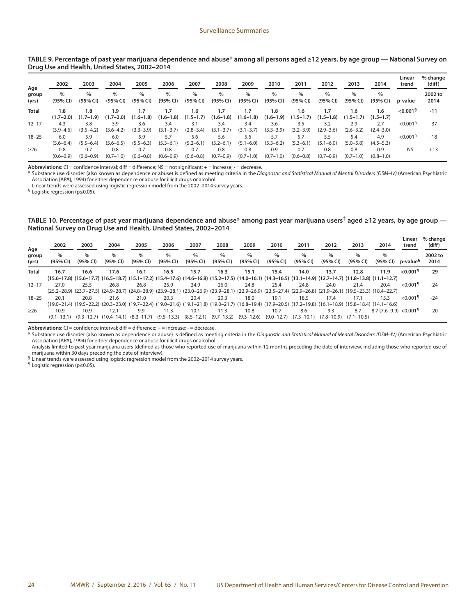| TABLE 9. Percentage of past year marijuana dependence and abuse* among all persons aged ≥12 years, by age group — National Survey on |  |  |
|--------------------------------------------------------------------------------------------------------------------------------------|--|--|
| Drug Use and Health, United States, 2002-2014                                                                                        |  |  |

| Age<br>group<br>(yrs) | 2002<br>$\%$<br>(95% CI) | 2003<br>$\%$<br>(95% CI) | 2004<br>$\%$<br>(95% CI) | 2005<br>%<br>(95% CI) | 2006<br>$\%$<br>(95% CI) | 2007<br>$\%$<br>(95% CI) | 2008<br>$\%$<br>(95% CI) | 2009<br>$\%$<br>(95% CI) | 2010<br>$\%$<br>(95% CI) | 2011<br>$\%$<br>(95% CI) | 2012<br>$\%$<br>(95% CI) | 2013<br>$\%$<br>(95% CI) | 2014<br>$\%$<br>(95% CI) | Linear<br>trend<br>$p$ -value $T$ | % change<br>(diff)<br>2002 to<br>2014 |
|-----------------------|--------------------------|--------------------------|--------------------------|-----------------------|--------------------------|--------------------------|--------------------------|--------------------------|--------------------------|--------------------------|--------------------------|--------------------------|--------------------------|-----------------------------------|---------------------------------------|
|                       |                          |                          |                          |                       |                          |                          |                          |                          |                          |                          |                          |                          |                          |                                   |                                       |
| $12 - 17$             | 4.3<br>$(3.9 - 4.6)$     | 3.8<br>$(3.5 - 4.2)$     | 3.9<br>$(3.6 - 4.2)$     | 3.6<br>$(3.3 - 3.9)$  | 3.4<br>$(3.1 - 3.7)$     | 3.1<br>$(2.8 - 3.4)$     | 3.4<br>$(3.1 - 3.7)$     | 3.4<br>$(3.1 - 3.7)$     | 3.6<br>$(3.3 - 3.9)$     | 3.5<br>$(3.2 - 3.9)$     | 3.2<br>$(2.9 - 3.6)$     | 2.9<br>$(2.6 - 3.2)$     | 2.7<br>$(2.4 - 3.0)$     | < 0.001 <sup>5</sup>              | $-37$                                 |
| $18 - 25$             | 6.0<br>$(5.6 - 6.4)$     | 5.9<br>$(5.5 - 6.4)$     | 6.0<br>$(5.6 - 6.5)$     | 5.9<br>$(5.5 - 6.3)$  | 5.7<br>$(5.3 - 6.1)$     | 5.6<br>$(5.2 - 6.1)$     | 5.6<br>$(5.2 - 6.1)$     | 5.6<br>$(5.1 - 6.0)$     | 5.7<br>$(5.3 - 6.2)$     | 5.7<br>$(5.3 - 6.1)$     | 5.5<br>$(5.1 - 6.0)$     | 5.4<br>$(5.0 - 5.8)$     | 4.9<br>$(4.5 - 5.3)$     | $< 0.001$ <sup>§</sup>            | $-18$                                 |
| $\geq$ 26             | 0.8<br>$(0.6 - 0.9)$     | 0.7<br>$(0.6 - 0.9)$     | 0.8<br>$(0.7 - 1.0)$     | 0.7<br>$(0.6 - 0.8)$  | 0.8<br>$(0.6 - 0.9)$     | 0.7<br>$(0.6 - 0.8)$     | 0.8<br>$(0.7 - 0.9)$     | 0.8<br>$(0.7 - 1.0)$     | 0.9<br>$(0.7 - 1.0)$     | 0.7<br>$(0.6 - 0.8)$     | 0.8<br>$(0.7-0.9)$       | 0.8<br>$(0.7 - 1.0)$     | 0.9<br>$(0.8 - 1.0)$     | <b>NS</b>                         | $+13$                                 |

Abbreviations: CI = confidence interval; diff = difference; NS = not significant; + = increase; - = decrease.

\* Substance use disorder (also known as dependence or abuse) is defined as meeting criteria in the *Diagnostic and Statistical Manual of Mental Disorders (DSM–IV)* (American Psychiatric Association [APA], 1994) for either dependence or abuse for illicit drugs or alcohol.

† Linear trends were assessed using logistic regression model from the 2002–2014 survey years.

§ Logistic regression (p≤0.05).

**TABLE 10. Percentage of past year marijuana dependence and abuse\* among past year marijuana users† aged ≥12 years, by age group — National Survey on Drug Use and Health, United States, 2002–2014**

| Age            | 2002             | 2003             | 2004             | 2005                                                                                                                                                        | 2006                      | 2007             | 2008             | 2009             | 2010             | 2011             | 2012                                   | 2013                      | 2014                                | Linear<br>trend        | % change<br>(diff) |
|----------------|------------------|------------------|------------------|-------------------------------------------------------------------------------------------------------------------------------------------------------------|---------------------------|------------------|------------------|------------------|------------------|------------------|----------------------------------------|---------------------------|-------------------------------------|------------------------|--------------------|
| group<br>(yrs) | $\%$<br>(95% CI) | $\%$<br>(95% CI) | $\%$<br>(95% CI) | $\%$<br>(95% CI)                                                                                                                                            | $\%$<br>(95% CI)          | $\%$<br>(95% CI) | $\%$<br>(95% CI) | $\%$<br>(95% CI) | $\%$<br>(95% CI) | $\%$<br>(95% CI) | $\%$<br>(95% CI)                       | $\frac{0}{0}$<br>(95% CI) | $\%$<br>(95% CI)                    | p-value <sup>s</sup>   | 2002 to<br>2014    |
| Total          | 16.7             | 16.6             | 17.6             | 16.1                                                                                                                                                        | 16.5                      | 15.7             | 16.3             | 15.1             | 15.4             | 14.0             | 13.7                                   | 12.8                      | 11.9                                | $< 0.001$ <sup>1</sup> | $-29$              |
|                |                  |                  |                  | (15.6-17.7) (16.5-18.7) (15.1-17.2) (15.4-17.6) (14.6-16.8) (15.2-17.5) (14.0-16.1) (14.3-16.5) (13.1-14.9) (12.7-14.7) (11.8-13.8) (11.1-12.7)             |                           |                  |                  |                  |                  |                  |                                        |                           |                                     |                        |                    |
| $12 - 17$      | 27.0             | 25.5             | 26.8             | 26.8                                                                                                                                                        | 25.9                      | 24.9             | 26.0             | 24.8             | 25.4             | 24.8             | 24.0                                   | 21.4                      | 20.4                                | $< 0.001$ <sup>1</sup> | $-24$              |
|                |                  |                  |                  | (25.2–28.9) (23.7–27.5) (24.9–28.7) (24.8–28.9) (23.9–28.1) (23.0–26.9) (23.9–28.1) (22.9–26.9) (23.5–27.4) (22.9–26.8) (21.9–26.1) (19.5–23.3) (18.4–22.7) |                           |                  |                  |                  |                  |                  |                                        |                           |                                     |                        |                    |
| $18 - 25$      | 20.1             | 20.8             | 21.6             | 21.0                                                                                                                                                        | 20.3                      | 20.4             | 20.3             | 18.0             | 19.1             | 18.5             | 17.4                                   | 17.1                      | 15.3                                | $< 0.001$ <sup>1</sup> | $-24$              |
|                |                  |                  |                  | (19.0–21.4) (19.5–22.2) (20.3–23.0) (19.7–22.4) (19.0–21.6) (19.1–21.8) (19.0–21.7) (16.8–19.4) (17.9–20.5) (17.2–19.8) (16.1–18.9) (15.8–18.4) (14.1–16.6) |                           |                  |                  |                  |                  |                  |                                        |                           |                                     |                        |                    |
| $\geq$ 26      | 10.9             | 10.9             | 12.1             | 9.9                                                                                                                                                         | 11.3                      | 10.1             | 11.3             | 10.8             | 10.7             | 8.6              | 9.3                                    | 8.7                       | $8.7(7.6-9.9) < 0.001$ <sup>1</sup> |                        | $-20$              |
|                | $(9.1 - 13.1)$   |                  |                  | $(9.3-12.7)$ $(10.4-14.1)$ $(8.3-11.7)$                                                                                                                     | $(9.5-13.3)$ $(8.5-12.1)$ |                  | $(9.7 - 13.2)$   | $(9.3 - 12.6)$   | $(9.0 - 12.7)$   |                  | $(7.3-10.1)$ $(7.8-10.9)$ $(7.1-10.5)$ |                           |                                     |                        |                    |

Abbreviations: CI = confidence interval; diff = difference; + = increase; - = decrease.

\* Substance use disorder (also known as dependence or abuse) is defined as meeting criteria in the *Diagnostic and Statistical Manual of Mental Disorders (DSM–IV)* (American Psychiatric Association [APA], 1994) for either dependence or abuse for illicit drugs or alcohol.

† Analysis limited to past year marijuana users (defined as those who reported use of marijuana within 12 months preceding the date of interview, including those who reported use of marijuana within 30 days preceding the date of interview).

§ Linear trends were assessed using logistic regression model from the 2002–2014 survey years.

¶ Logistic regression (p≤0.05).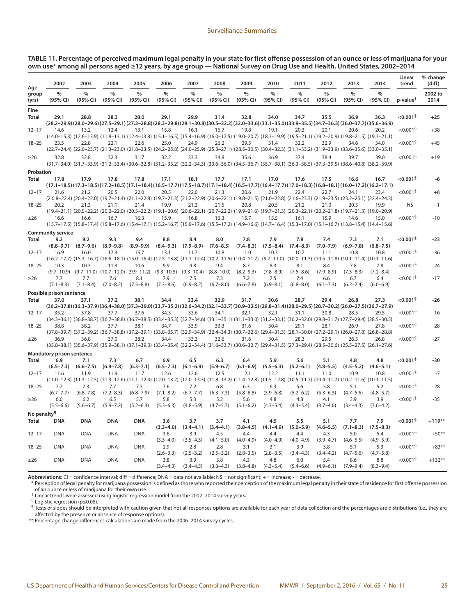#### **TABLE 11. Percentage of perceived maximum legal penalty in your state for first offense possession of an ounce or less of marijuana for your own use\* among all persons aged ≥12 years, by age group — National Survey on Drug Use and Health, United States, 2002–2014**

|                         | 2002                        | 2003                        | 2004                        | 2005                                                                                                                                                                | 2006                        | 2007                        | 2008                        | 2009                        | 2010                        | 2011                        | 2012                        | 2013                        | 2014                                                                                                                                                                | Linear<br>trend                                | % change<br>(diff) |
|-------------------------|-----------------------------|-----------------------------|-----------------------------|---------------------------------------------------------------------------------------------------------------------------------------------------------------------|-----------------------------|-----------------------------|-----------------------------|-----------------------------|-----------------------------|-----------------------------|-----------------------------|-----------------------------|---------------------------------------------------------------------------------------------------------------------------------------------------------------------|------------------------------------------------|--------------------|
| Age<br>group<br>(yrs)   | %<br>(95% CI)               | $\%$<br>(95% CI)            | $\%$<br>(95% CI)            | %<br>(95% CI)                                                                                                                                                       | $\%$<br>(95% CI)            | $\%$<br>(95% CI)            | $\%$<br>(95% CI)            | $\frac{0}{0}$<br>(95% CI)   | $\%$<br>(95% CI)            | $\%$<br>(95% CI)            | $\%$<br>(95% CI)            | $\%$<br>(95% CI)            | $\%$<br>(95% CI)                                                                                                                                                    | $p$ -value <sup><math>\uparrow</math></sup>    | 2002 to<br>2014    |
| Fine<br>Total           | 29.1                        | 28.8                        | 28.3                        | 28.0                                                                                                                                                                | 29.1                        | 29.9                        | 31.4                        | 32.8                        | 34.0                        | 34.7                        | 35.5                        | 36.9                        | 36.3<br>(28.0-29.6) (28.0-29.6) (27.5-29.1) (27.2-28.8) (28.3-29.8) (29.1-30.8) (30.5-32.2) (32.0-33.6) (33.1-35.0) (33.9-35.5) (34.7-36.3) (36.0-37.7) (35.6-36.9) | ${<}0.001§$                                    | $+25$              |
| $12 - 17$               | 14.6                        | 13.2                        | 12.4                        | 13.1<br>(14.0–15.3) (12.6–13.9) (11.8–13.1) (12.4–13.8) (15.1–16.5) (15.4–16.9) (16.0–17.5) (19.0–20.7) (18.3–19.9) (19.5–21.1) (19.2–20.9) (19.8–21.5) (19.3–21.1) | 15.8                        | 16.1                        | 16.7                        | 19.8                        | 19.1                        | 20.3                        | 20.1                        | 20.6                        | 20.2                                                                                                                                                                | $< 0.001$ <sup>§</sup>                         | $+38$              |
| $18 - 25$               | 23.5                        | 22.8                        | 22.1                        | 22.6<br>(22.7-24.4) (22.0-23.7) (21.3-23.0) (21.8-23.5) (24.2-25.8) (24.0-25.9) (25.3-27.1) (28.5-30.5) (30.4-32.3) (31.1-33.2) (31.9-33.9) (33.6-35.6) (33.0-35.1) | 25.0                        | 24.9                        | 26.2                        | 29.5                        | 31.4                        | 32.2                        | 32.9                        | 34.6                        | 34.0                                                                                                                                                                | < 0.001 <sup>5</sup>                           | $+45$              |
| $\geq$ 26               | 32.8                        | 32.8                        | 32.3                        | 31.7<br>(31.7-34.0) (31.7-33.9) (31.2-33.4) (30.6-32.8) (31.2-33.2) (32.2-34.3) (33.6-36.0) (34.5-36.7) (35.7-38.1) (36.3-38.5) (37.3-39.5) (38.6-40.8) (38.2-39.9) | 32.2                        | 33.3                        | 34.8                        | 35.6                        | 36.9                        | 37.4                        | 38.4                        | 39.7                        | 39.0                                                                                                                                                                | $< 0.001$ <sup>§</sup>                         | $+19$              |
| Probation               |                             |                             |                             |                                                                                                                                                                     |                             |                             |                             |                             |                             |                             |                             |                             |                                                                                                                                                                     |                                                |                    |
| Total                   | 17.8                        | 17.9                        | 17.8                        | 17.8                                                                                                                                                                | 17.1                        | 18.1                        | 17.7                        | 17.1                        | 17.0                        | 17.6                        | 17.5                        | 16.6                        | 16.7<br>$(17.1-18.5)(17.3-18.5)(17.2-18.5)(17.1-18.4)(16.5-17.7)(17.5-18.7)(17.1-18.4)(16.5-17.7)(16.4-17.7)(17.0-18.3)(16.8-18.1)(16.0-17.2)(16.2-17.1)$           | $<$ 0.001 $^{\circ}$                           | -6                 |
| $12 - 17$               | 21.6                        | 21.2                        | 20.5                        | 22.0<br>(20.4-22.4) (20.4-22.0) (19.7-21.4) (21.1-22.8) (19.7-21.3) (21.2-22.9) (20.6-22.1) (19.8-21.5) (21.0-22.8) (21.6-23.3) (21.9-23.5) (23.2-25.1) (22.4-24.3) | 20.5                        | 22.0                        | 21.3                        | 20.6                        | 21.9                        | 22.4                        | 22.7                        | 24.1                        | 23.4                                                                                                                                                                | $< 0.001$ <sup>§</sup>                         | $+8$               |
| $18 - 25$               | 20.2                        | 21.3                        | 21.1                        | 21.4<br>(19.4–21.1) (20.5–22.2) (20.2–22.0) (20.5–22.2) (19.1–20.6) (20.6–22.1) (20.7–22.2) (19.9–21.6) (19.7–21.3) (20.3–22.1) (20.2–21.8) (19.7–21.3) (19.0–20.9) | 19.9                        | 21.3                        | 21.5                        | 20.8                        | 20.5                        | 21.2                        | 21.0                        | 20.5                        | 19.9                                                                                                                                                                | <b>NS</b>                                      | -1                 |
| $\geq$ 26               | 16.6                        | 16.6                        | 16.7                        | 16.3<br>(15.1-16.7) (15.8-17.4) (15.8-17.6) (15.4-17.1) (15.2-16.7) (15.9-17.6) (15.5-17.2) (14.9-16.6) (14.7-16.4) (15.3-17.0) (15.1-16.7) (13.8-15.4) (14.4-15.6) | 15.9                        | 16.8                        | 16.3                        | 15.7                        | 15.5                        | 16.1                        | 15.9                        | 14.6                        | 15.0                                                                                                                                                                | $< 0.001$ <sup>§</sup>                         | $-10$              |
|                         | <b>Community service</b>    |                             |                             |                                                                                                                                                                     |                             |                             |                             |                             |                             |                             |                             |                             |                                                                                                                                                                     |                                                |                    |
| Total                   | 9.2<br>$(8.8 - 9.7)$        | 9.2<br>$(8.7 - 9.6)$        | 9.3<br>$(8.9 - 9.8)$        | 9.4<br>$(8.9 - 9.9)$                                                                                                                                                | 8.8<br>$(8.4 - 9.3)$        | 8.4<br>$(7.9 - 8.9)$        | 8.0<br>$(7.6 - 8.5)$        | 7.8<br>$(7.4 - 8.3)$        | 7.9<br>$(7.5 - 8.4)$        | 7.8<br>$(7.4 - 8.3)$        | 7.4<br>$(7.0 - 7.9)$        | 7.3<br>$(6.9 - 7.8)$        | 7.1<br>$(6.8 - 7.5)$                                                                                                                                                | $<$ 0.001 $^{\circ}$                           | $-23$              |
| $12 - 17$               | 16.9                        | 16.0                        | 17.3                        | 15.7<br>(16.1–11.4) (16.1–11.4) (16.6–18.1) (15.0–16.4) (12.5–13.8) (11.1–12.4) (10.2–11.5) (10.4–11.7) (9.7–11.0) (10.0–11.3) (10.5–11.8) (10.1–11.4) (10.1–11.6)  | 13.1                        | 11.7                        | 10.8                        | 11.0                        | 10.3                        | 10.7                        | 11.1                        | 10.8                        | 10.8                                                                                                                                                                | < 0.001 <sup>5</sup>                           | $-36$              |
| $18 - 25$               | 10.3                        | 10.3                        | 11.3                        | 10.6<br>$(9.7-10.9)$ $(9.7-11.0)$ $(10.7-12.0)$ $(9.9-11.2)$ $(9.3-10.5)$ $(9.3-10.4)$ $(8.8-10.0)$                                                                 | 9.9                         | 9.8                         | 9.4                         | 8.7<br>$(8.2 - 9.3)$        | 8.3<br>$(7.8 - 8.9)$        | 8.1<br>$(7.5 - 8.6)$        | 8.4<br>$(7.9 - 8.9)$        | 7.8<br>$(7.3 - 8.3)$        | 7.8<br>$(7.2 - 8.4)$                                                                                                                                                | $< 0.001$ <sup>§</sup>                         | $-24$              |
| $\geq$ 26               | 7.7<br>$(7.1 - 8.3)$        | 7.7<br>$(7.1 - 8.4)$        | 7.6<br>$(7.0 - 8.2)$        | 8.1<br>$(7.5 - 8.8)$                                                                                                                                                | 7.9<br>$(7.3 - 8.6)$        | 7.5<br>$(6.9 - 8.2)$        | 7.3<br>$(6.7 - 8.0)$        | 7.2<br>$(6.6 - 7.8)$        | 7.5<br>$(6.9 - 8.1)$        | 7.4<br>$(6.8 - 8.0)$        | 6.6<br>$(6.1 - 7.3)$        | 6.7<br>$(6.2 - 7.4)$        | 6.4<br>$(6.0 - 6.9)$                                                                                                                                                | $< 0.001$ <sup>§</sup>                         | $-17$              |
|                         | Possible prison sentence    |                             |                             |                                                                                                                                                                     |                             |                             |                             |                             |                             |                             |                             |                             |                                                                                                                                                                     |                                                |                    |
| <b>Total</b>            | 37.0                        | 37.1                        | 37.2                        | 38.1                                                                                                                                                                | 34.4                        | 33.4                        | 32.9                        | 31.7                        | 30.6                        | 28.7                        | 29.4                        | 26.8                        | 27.3<br>(36.2-37.8) (36.3-37.9) (36.4-38.0) (37.3-39.0) (33.7-35.2) (32.6-34.2) (32.1-33.7) (30.9-32.5) (29.8-31.4) (28.0-29.5) (28.7-30.2) (26.0-27.5) (26.7-27.9) | ${<}0.001§$                                    | $-26$              |
| $12 - 17$               | 35.2                        | 37.8                        | 37.7                        | 37.6<br>(34.3-36.1) (36.8-38.7) (36.7-38.8) (36.7-38.5) (33.4-35.3) (32.7-34.6) (33.1-35.1) (31.1-33.0) (31.2-33.1) (30.2-32.0) (29.8-31.7) (27.7-29.4) (28.5-30.5) | 34.3                        | 33.6                        | 34.1                        | 32.1                        | 32.1                        | 31.1                        | 30.8                        | 28.5                        | 29.5                                                                                                                                                                | $< 0.001$ <sup>§</sup>                         | -16                |
| $18 - 25$               | 38.8                        | 38.2                        | 37.7                        | 38.1<br>(37.8-39.7) (37.2-39.2) (36.7-38.8) (37.2-39.1) (33.8-35.7) (32.9-34.9) (32.4-34.3) (30.7-32.6) (29.4-31.3) (28.1-30.0) (27.2-29.1) (26.0-27.8) (26.8-28.8) | 34.7                        | 33.9                        | 33.3                        | 31.6                        | 30.4                        | 29.1                        | 28.1                        | 26.9                        | 27.8                                                                                                                                                                | $< 0.001$ <sup>§</sup>                         | $-28$              |
| $\geq$ 26               | 36.9                        | 36.8                        | 37.0                        | 38.2<br>(35.8–38.1) (35.6–37.9) (35.9–38.1) (37.1–39.3) (33.4–35.4) (32.2–34.4) (31.6–33.7) (30.6–32.7) (29.4–31.5) (27.3–29.4) (28.5–30.6) (25.5–27.5) (26.1–27.6) | 34.4                        | 33.3                        | 32.6                        | 31.6                        | 30.4                        | 28.3                        | 29.5                        | 26.5                        | 26.8                                                                                                                                                                | $< 0.001$ <sup>§</sup>                         | $-27$              |
|                         | Mandatory prison sentence   |                             |                             |                                                                                                                                                                     |                             |                             |                             |                             |                             |                             |                             |                             |                                                                                                                                                                     |                                                |                    |
| Total                   | 6.9<br>$(6.5 - 7.3)$        | 7.1<br>$(6.6 - 7.5)$        | 7.3<br>$(6.9 - 7.8)$        | 6.7<br>$(6.3 - 7.1)$                                                                                                                                                | 6.9<br>$(6.5 - 7.3)$        | 6.5<br>$(6.1 - 6.9)$        | 6.3<br>$(5.9 - 6.7)$        | 6.4<br>$(6.1 - 6.9)$        | 5.9<br>$(5.5 - 6.3)$        | 5.6<br>$(5.2 - 6.1)$        | 5.1<br>$(4.8 - 5.5)$        | 4.8<br>$(4.5 - 5.2)$        | 4.8<br>$(4.6 - 5.1)$                                                                                                                                                | $<$ 0.001 $^{\circ}$                           | -30                |
| $12 - 17$               | 11.6                        | 11.9                        | 11.9                        | 11.7<br>(11.0-12.3) (11.3-12.5) (11.3-12.6) (11.1-12.4) (12.0-13.2) (12.0-13.3) (11.8-13.2) (11.4-12.8) (11.5-12.8) (10.5-11.7) (10.4-11.7) (10.2-11.6) (10.1-11.5) | 12.6                        | 12.6                        | 12.5                        | 12.1                        | 12.2                        | 11.1                        | 11.0                        | 10.9                        | 10.8                                                                                                                                                                | < 0.001 <sup>5</sup>                           | $-7$               |
| $18 - 25$               | 7.2<br>$(6.7 - 7.7)$<br>6.0 | 7.3<br>$(6.8 - 7.8)$<br>6.2 | 7.7<br>$(7.2 - 8.3)$<br>6.5 | 7.3<br>$(6.8 - 7.9)$<br>5.7                                                                                                                                         | 7.6<br>$(7.1 - 8.2)$<br>5.8 | 7.2<br>$(6.7 - 7.7)$<br>5.3 | 6.8<br>$(6.3 - 7.3)$<br>5.2 | 6.3<br>$(5.8 - 6.8)$<br>5.6 | 6.3<br>$(5.9 - 6.8)$<br>4.8 | 5.6<br>$(5.2 - 6.2)$<br>4.8 | 5.8<br>$(5.3 - 6.3)$<br>4.1 | 5.1<br>$(4.7 - 5.6)$<br>3.9 | 5.2<br>$(4.8 - 5.7)$<br>3.9                                                                                                                                         | $< 0.001$ <sup>§</sup><br>$< 0.001$ §          | $-28$<br>$-35$     |
| $\geq$ 26               | $(5.5 - 6.6)$               | $(5.6 - 6.7)$               | $(5.9 - 7.2)$               | $(5.2 - 6.3)$                                                                                                                                                       | $(5.3 - 6.3)$               | $(4.8 - 5.9)$               | $(4.7 - 5.7)$               | $(5.1 - 6.2)$               | $(4.3 - 5.4)$               | $(4.3 - 5.4)$               | $(3.7 - 4.6)$               | $(3.4 - 4.3)$               | $(3.6 - 4.2)$                                                                                                                                                       |                                                |                    |
| No penalty <sup>¶</sup> |                             |                             |                             |                                                                                                                                                                     |                             |                             |                             |                             |                             |                             |                             |                             |                                                                                                                                                                     |                                                |                    |
| Total                   | <b>DNA</b>                  | <b>DNA</b>                  | <b>DNA</b>                  | <b>DNA</b>                                                                                                                                                          | 3.6<br>$(3.3 - 4.0)$        | 3.7<br>$(3.4 - 4.1)$        | 3.7<br>$(3.4 - 4.1)$        | 4.1<br>$(3.8 - 4.5)$        | 4.5<br>$(4.1 - 4.9)$        | 5.5<br>$(5.0 - 5.9)$        | 5.1<br>$(4.6 - 5.5)$        | 7.7<br>$(7.1 - 8.3)$        | 7.9<br>$(7.5 - 8.3)$                                                                                                                                                | $<$ 0.001 $^{\circ}$                           | $+119^{**}$        |
| $12 - 17$<br>$18 - 25$  | <b>DNA</b><br><b>DNA</b>    | <b>DNA</b><br><b>DNA</b>    | <b>DNA</b><br><b>DNA</b>    | <b>DNA</b><br><b>DNA</b>                                                                                                                                            | 3.6<br>$(3.3 - 4.0)$<br>2.9 | 3.9<br>$(3.5 - 4.3)$<br>2.8 | 4.5<br>$(4.1 - 5.0)$<br>2.8 | 4.4<br>$(4.0 - 4.9)$<br>3.1 | 4.4<br>$(4.0 - 4.9)$<br>3.1 | 4.4<br>$(4.0 - 4.9)$<br>3.9 | 4.3<br>$(3.9 - 4.7)$<br>3.8 | 5.0<br>$(4.6 - 5.5)$<br>5.1 | 5.4<br>$(4.9 - 5.9)$<br>5.3                                                                                                                                         | $< 0.001$ <sup>§</sup><br>< 0.001 <sup>5</sup> | $+50**$<br>$+83*$  |
| $\geq$ 26               | <b>DNA</b>                  | <b>DNA</b>                  | <b>DNA</b>                  | <b>DNA</b>                                                                                                                                                          | $(2.6 - 3.3)$<br>3.8        | $(2.5 - 3.2)$<br>3.9        | $(2.5 - 3.2)$<br>3.8        | $(2.8 - 3.5)$<br>4.3        | $(2.8 - 3.5)$<br>4.8        | $(3.4 - 4.3)$<br>6.0        | $(3.4 - 4.2)$<br>5.4        | $(4.7 - 5.6)$<br>8.6        | $(4.7 - 5.8)$<br>8.8                                                                                                                                                | $< 0.001$ <sup>§</sup>                         | $+132**$           |
|                         |                             |                             |                             |                                                                                                                                                                     | $(3.4 - 4.3)$               | $(3.4 - 4.5)$               | $(3.3 - 4.3)$               | $(3.8 - 4.8)$               | $(4.3 - 5.4)$               | $(5.4 - 6.6)$               | $(4.9 - 6.1)$               | $(7.9 - 9.4)$               | $(8.3 - 9.4)$                                                                                                                                                       |                                                |                    |

Abbreviations: CI = confidence interval; diff = difference; DNA = data not available; NS = not significant; + = increase; - = decrease.

\* Perception of legal penalty for marijuana possession is defined as those who reported their perception of the maximum legal penalty in their state of residence for first offense possession of an ounce or less of marijuana for their own use.

† Linear trends were assessed using logistic regression model from the 2002–2014 survey years.

§ Logistic regression (p≤0.05).

¶ Tests of slopes should be interpreted with caution given that not all responses options are available for each year of data collection and the percentages are distributions (i.e., they are affected by the presence or absence of response options).

\*\* Percentage change differences calculations are made from the 2006–2014 survey cycles.